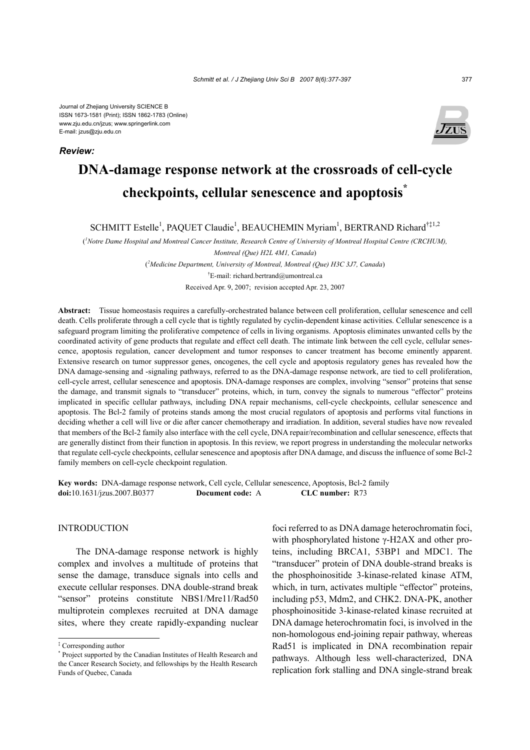*Review:*



# **DNA-damage response network at the crossroads of cell-cycle checkpoints, cellular senescence and apoptosis\***

SCHMITT Estelle<sup>1</sup>, PAQUET Claudie<sup>1</sup>, BEAUCHEMIN Myriam<sup>1</sup>, BERTRAND Richard<sup>†‡1,2</sup>

( *1 Notre Dame Hospital and Montreal Cancer Institute, Research Centre of University of Montreal Hospital Centre (CRCHUM), Montreal (Que) H2L 4M1, Canada*) ( *2 Medicine Department, University of Montreal, Montreal (Que) H3C 3J7, Canada*) † E-mail: richard.bertrand@umontreal.ca

Received Apr. 9, 2007; revision accepted Apr. 23, 2007

**Abstract:** Tissue homeostasis requires a carefully-orchestrated balance between cell proliferation, cellular senescence and cell death. Cells proliferate through a cell cycle that is tightly regulated by cyclin-dependent kinase activities. Cellular senescence is a safeguard program limiting the proliferative competence of cells in living organisms. Apoptosis eliminates unwanted cells by the coordinated activity of gene products that regulate and effect cell death. The intimate link between the cell cycle, cellular senescence, apoptosis regulation, cancer development and tumor responses to cancer treatment has become eminently apparent. Extensive research on tumor suppressor genes, oncogenes, the cell cycle and apoptosis regulatory genes has revealed how the DNA damage-sensing and -signaling pathways, referred to as the DNA-damage response network, are tied to cell proliferation, cell-cycle arrest, cellular senescence and apoptosis. DNA-damage responses are complex, involving "sensor" proteins that sense the damage, and transmit signals to "transducer" proteins, which, in turn, convey the signals to numerous "effector" proteins implicated in specific cellular pathways, including DNA repair mechanisms, cell-cycle checkpoints, cellular senescence and apoptosis. The Bcl-2 family of proteins stands among the most crucial regulators of apoptosis and performs vital functions in deciding whether a cell will live or die after cancer chemotherapy and irradiation. In addition, several studies have now revealed that members of the Bcl-2 family also interface with the cell cycle, DNA repair/recombination and cellular senescence, effects that are generally distinct from their function in apoptosis. In this review, we report progress in understanding the molecular networks that regulate cell-cycle checkpoints, cellular senescence and apoptosis after DNA damage, and discuss the influence of some Bcl-2 family members on cell-cycle checkpoint regulation.

**Key words:** DNA-damage response network, Cell cycle, Cellular senescence, Apoptosis, Bcl-2 family **doi:**10.1631/jzus.2007.B0377 **Document code:** A **CLC number:** R73

# INTRODUCTION

The DNA-damage response network is highly complex and involves a multitude of proteins that sense the damage, transduce signals into cells and execute cellular responses. DNA double-strand break "sensor" proteins constitute NBS1/Mre11/Rad50 multiprotein complexes recruited at DNA damage sites, where they create rapidly-expanding nuclear

foci referred to as DNA damage heterochromatin foci, with phosphorylated histone γ-H2AX and other proteins, including BRCA1, 53BP1 and MDC1. The "transducer" protein of DNA double-strand breaks is the phosphoinositide 3-kinase-related kinase ATM, which, in turn, activates multiple "effector" proteins, including p53, Mdm2, and CHK2. DNA-PK, another phosphoinositide 3-kinase-related kinase recruited at DNA damage heterochromatin foci, is involved in the non-homologous end-joining repair pathway, whereas Rad51 is implicated in DNA recombination repair pathways. Although less well-characterized, DNA replication fork stalling and DNA single-strand break

<sup>‡</sup> Corresponding author

<sup>\*</sup> Project supported by the Canadian Institutes of Health Research and the Cancer Research Society, and fellowships by the Health Research Funds of Quebec, Canada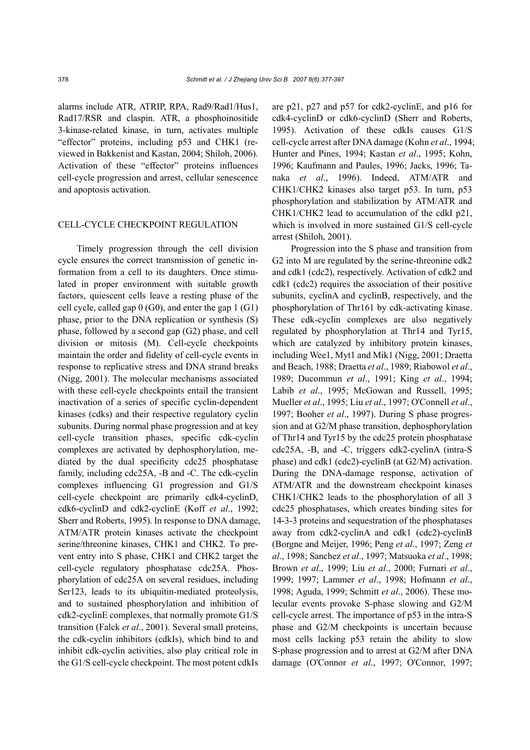alarms include ATR, ATRIP, RPA, Rad9/Rad1/Hus1, Rad17/RSR and claspin. ATR, a phosphoinositide 3-kinase-related kinase, in turn, activates multiple "effector" proteins, including p53 and CHK1 (reviewed in Bakkenist and Kastan, 2004; Shiloh, 2006). Activation of these "effector" proteins influences cell-cycle progression and arrest, cellular senescence and apoptosis activation.

#### CELL-CYCLE CHECKPOINT REGULATION

Timely progression through the cell division cycle ensures the correct transmission of genetic information from a cell to its daughters. Once stimulated in proper environment with suitable growth factors, quiescent cells leave a resting phase of the cell cycle, called gap  $0$  (G0), and enter the gap 1 (G1) phase, prior to the DNA replication or synthesis (S) phase, followed by a second gap (G2) phase, and cell division or mitosis (M). Cell-cycle checkpoints maintain the order and fidelity of cell-cycle events in response to replicative stress and DNA strand breaks (Nigg, 2001). The molecular mechanisms associated with these cell-cycle checkpoints entail the transient inactivation of a series of specific cyclin-dependent kinases (cdks) and their respective regulatory cyclin subunits. During normal phase progression and at key cell-cycle transition phases, specific cdk-cyclin complexes are activated by dephosphorylation, mediated by the dual specificity cdc25 phosphatase family, including cdc25A, -B and -C. The cdk-cyclin complexes influencing G1 progression and G1/S cell-cycle checkpoint are primarily cdk4-cyclinD, cdk6-cyclinD and cdk2-cyclinE (Koff *et al*., 1992; Sherr and Roberts, 1995). In response to DNA damage, ATM/ATR protein kinases activate the checkpoint serine/threonine kinases, CHK1 and CHK2. To prevent entry into S phase, CHK1 and CHK2 target the cell-cycle regulatory phosphatase cdc25A. Phosphorylation of cdc25A on several residues, including Ser123, leads to its ubiquitin-mediated proteolysis, and to sustained phosphorylation and inhibition of cdk2-cyclinE complexes, that normally promote G1/S transition (Falck *et al*., 2001). Several small proteins, the cdk-cyclin inhibitors (cdkIs), which bind to and inhibit cdk-cyclin activities, also play critical role in the G1/S cell-cycle checkpoint. The most potent cdkIs

are p21, p27 and p57 for cdk2-cyclinE, and p16 for cdk4-cyclinD or cdk6-cyclinD (Sherr and Roberts, 1995). Activation of these cdkIs causes G1/S cell-cycle arrest after DNA damage (Kohn *et al*., 1994; Hunter and Pines, 1994; Kastan *et al*., 1995; Kohn, 1996; Kaufmann and Paules, 1996; Jacks, 1996; Tanaka *et al*., 1996). Indeed, ATM/ATR and CHK1/CHK2 kinases also target p53. In turn, p53 phosphorylation and stabilization by ATM/ATR and CHK1/CHK2 lead to accumulation of the cdkI p21, which is involved in more sustained G1/S cell-cycle arrest (Shiloh, 2001).

Progression into the S phase and transition from G2 into M are regulated by the serine-threonine cdk2 and cdk1 (cdc2), respectively. Activation of cdk2 and cdk1 (cdc2) requires the association of their positive subunits, cyclinA and cyclinB, respectively, and the phosphorylation of Thr161 by cdk-activating kinase. These cdk-cyclin complexes are also negatively regulated by phosphorylation at Thr14 and Tyr15, which are catalyzed by inhibitory protein kinases, including Wee1, Myt1 and Mik1 (Nigg, 2001; Draetta and Beach, 1988; Draetta *et al*., 1989; Riabowol *et al*., 1989; Ducommun *et al*., 1991; King *et al*., 1994; Labib *et al.*, 1995; McGowan and Russell, 1995; Mueller *et al*., 1995; Liu *et al*., 1997; O'Connell *et al*., 1997; Booher *et al*., 1997). During S phase progression and at G2/M phase transition, dephosphorylation of Thr14 and Tyr15 by the cdc25 protein phosphatase cdc25A, -B, and -C, triggers cdk2-cyclinA (intra-S phase) and cdk1 (cdc2)-cyclinB (at G2/M) activation. During the DNA-damage response, activation of ATM/ATR and the downstream checkpoint kinases CHK1/CHK2 leads to the phosphorylation of all 3 cdc25 phosphatases, which creates binding sites for 14-3-3 proteins and sequestration of the phosphatases away from cdk2-cyclinA and cdk1 (cdc2)-cyclinB (Borgne and Meijer, 1996; Peng *et al*., 1997; Zeng *et al*., 1998; Sanchez *et al*., 1997; Matsuoka *et al*., 1998; Brown *et al*., 1999; Liu *et al*., 2000; Furnari *et al*., 1999; 1997; Lammer *et al*., 1998; Hofmann *et al*., 1998; Aguda, 1999; Schmitt *et al*., 2006). These molecular events provoke S-phase slowing and G2/M cell-cycle arrest. The importance of p53 in the intra-S phase and G2/M checkpoints is uncertain because most cells lacking p53 retain the ability to slow S-phase progression and to arrest at G2/M after DNA damage (O'Connor *et al*., 1997; O'Connor, 1997;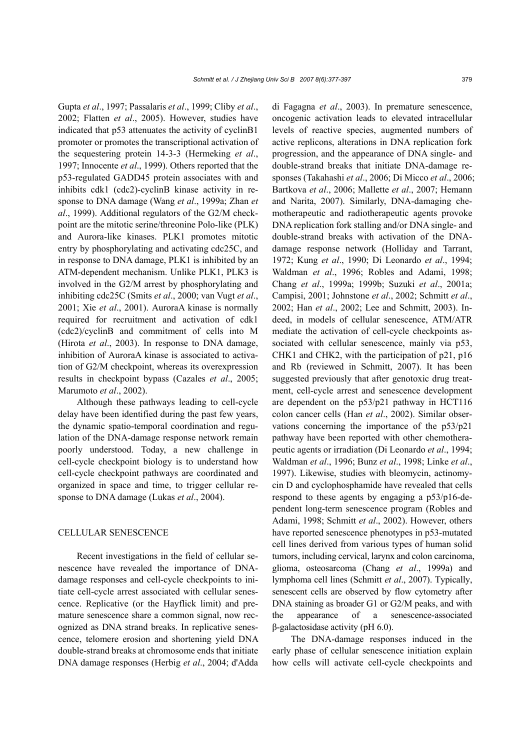Gupta *et al*., 1997; Passalaris *et al*., 1999; Cliby *et al*., 2002; Flatten *et al*., 2005). However, studies have indicated that p53 attenuates the activity of cyclinB1 promoter or promotes the transcriptional activation of the sequestering protein 14-3-3 (Hermeking *et al*., 1997; Innocente *et al*., 1999). Others reported that the p53-regulated GADD45 protein associates with and inhibits cdk1 (cdc2)-cyclinB kinase activity in response to DNA damage (Wang *et al*., 1999a; Zhan *et al*., 1999). Additional regulators of the G2/M checkpoint are the mitotic serine/threonine Polo-like (PLK) and Aurora-like kinases. PLK1 promotes mitotic entry by phosphorylating and activating cdc25C, and in response to DNA damage, PLK1 is inhibited by an ATM-dependent mechanism. Unlike PLK1, PLK3 is involved in the G2/M arrest by phosphorylating and inhibiting cdc25C (Smits *et al*., 2000; van Vugt *et al*., 2001; Xie *et al*., 2001). AuroraA kinase is normally required for recruitment and activation of cdk1 (cdc2)/cyclinB and commitment of cells into M (Hirota *et al*., 2003). In response to DNA damage, inhibition of AuroraA kinase is associated to activation of G2/M checkpoint, whereas its overexpression results in checkpoint bypass (Cazales *et al*., 2005; Marumoto *et al*., 2002).

Although these pathways leading to cell-cycle delay have been identified during the past few years, the dynamic spatio-temporal coordination and regulation of the DNA-damage response network remain poorly understood. Today, a new challenge in cell-cycle checkpoint biology is to understand how cell-cycle checkpoint pathways are coordinated and organized in space and time, to trigger cellular response to DNA damage (Lukas *et al*., 2004).

### CELLULAR SENESCENCE

Recent investigations in the field of cellular senescence have revealed the importance of DNAdamage responses and cell-cycle checkpoints to initiate cell-cycle arrest associated with cellular senescence. Replicative (or the Hayflick limit) and premature senescence share a common signal, now recognized as DNA strand breaks. In replicative senescence, telomere erosion and shortening yield DNA double-strand breaks at chromosome ends that initiate DNA damage responses (Herbig *et al*., 2004; d'Adda di Fagagna *et al*., 2003). In premature senescence, oncogenic activation leads to elevated intracellular levels of reactive species, augmented numbers of active replicons, alterations in DNA replication fork progression, and the appearance of DNA single- and double-strand breaks that initiate DNA-damage responses (Takahashi *et al*., 2006; Di Micco *et al*., 2006; Bartkova *et al*., 2006; Mallette *et al*., 2007; Hemann and Narita, 2007). Similarly, DNA-damaging chemotherapeutic and radiotherapeutic agents provoke DNA replication fork stalling and/or DNA single- and double-strand breaks with activation of the DNAdamage response network (Holliday and Tarrant, 1972; Kung *et al*., 1990; Di Leonardo *et al*., 1994; Waldman *et al*., 1996; Robles and Adami, 1998; Chang *et al*., 1999a; 1999b; Suzuki *et al*., 2001a; Campisi, 2001; Johnstone *et al*., 2002; Schmitt *et al*., 2002; Han *et al*., 2002; Lee and Schmitt, 2003). Indeed, in models of cellular senescence, ATM/ATR mediate the activation of cell-cycle checkpoints associated with cellular senescence, mainly via p53, CHK1 and CHK2, with the participation of p21, p16 and Rb (reviewed in Schmitt, 2007). It has been suggested previously that after genotoxic drug treatment, cell-cycle arrest and senescence development are dependent on the p53/p21 pathway in HCT116 colon cancer cells (Han *et al*., 2002). Similar observations concerning the importance of the p53/p21 pathway have been reported with other chemotherapeutic agents or irradiation (Di Leonardo *et al*., 1994; Waldman *et al*., 1996; Bunz *et al*., 1998; Linke *et al*., 1997). Likewise, studies with bleomycin, actinomycin D and cyclophosphamide have revealed that cells respond to these agents by engaging a p53/p16-dependent long-term senescence program (Robles and Adami, 1998; Schmitt *et al*., 2002). However, others have reported senescence phenotypes in p53-mutated cell lines derived from various types of human solid tumors, including cervical, larynx and colon carcinoma, glioma, osteosarcoma (Chang *et al*., 1999a) and lymphoma cell lines (Schmitt *et al*., 2007). Typically, senescent cells are observed by flow cytometry after DNA staining as broader G1 or G2/M peaks, and with the appearance of a senescence-associated β-galactosidase activity (pH 6.0).

The DNA-damage responses induced in the early phase of cellular senescence initiation explain how cells will activate cell-cycle checkpoints and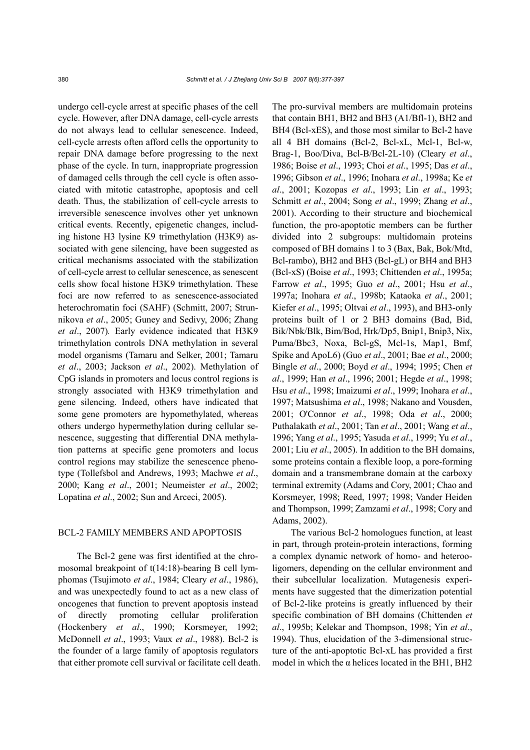undergo cell-cycle arrest at specific phases of the cell cycle. However, after DNA damage, cell-cycle arrests do not always lead to cellular senescence. Indeed, cell-cycle arrests often afford cells the opportunity to repair DNA damage before progressing to the next phase of the cycle. In turn, inappropriate progression of damaged cells through the cell cycle is often associated with mitotic catastrophe, apoptosis and cell death. Thus, the stabilization of cell-cycle arrests to irreversible senescence involves other yet unknown critical events. Recently, epigenetic changes, including histone H3 lysine K9 trimethylation (H3K9) associated with gene silencing, have been suggested as critical mechanisms associated with the stabilization of cell-cycle arrest to cellular senescence, as senescent cells show focal histone H3K9 trimethylation. These foci are now referred to as senescence-associated heterochromatin foci (SAHF) (Schmitt, 2007; Strunnikova *et al*., 2005; Guney and Sedivy, 2006; Zhang *et al*., 2007)*.* Early evidence indicated that H3K9 trimethylation controls DNA methylation in several model organisms (Tamaru and Selker, 2001; Tamaru *et al*., 2003; Jackson *et al*., 2002). Methylation of CpG islands in promoters and locus control regions is strongly associated with H3K9 trimethylation and gene silencing. Indeed, others have indicated that some gene promoters are hypomethylated, whereas others undergo hypermethylation during cellular senescence, suggesting that differential DNA methylation patterns at specific gene promoters and locus control regions may stabilize the senescence phenotype (Tollefsbol and Andrews, 1993; Machwe *et al*., 2000; Kang *et al*., 2001; Neumeister *et al*., 2002; Lopatina *et al*., 2002; Sun and Arceci, 2005).

#### BCL-2 FAMILY MEMBERS AND APOPTOSIS

The Bcl-2 gene was first identified at the chromosomal breakpoint of t(14:18)-bearing B cell lymphomas (Tsujimoto *et al*., 1984; Cleary *et al*., 1986), and was unexpectedly found to act as a new class of oncogenes that function to prevent apoptosis instead of directly promoting cellular proliferation (Hockenbery *et al*., 1990; Korsmeyer, 1992; McDonnell *et al*., 1993; Vaux *et al*., 1988). Bcl-2 is the founder of a large family of apoptosis regulators that either promote cell survival or facilitate cell death. The pro-survival members are multidomain proteins that contain BH1, BH2 and BH3 (A1/Bfl-1), BH2 and BH4 (Bcl-xES), and those most similar to Bcl-2 have all 4 BH domains (Bcl-2, Bcl-xL, Mcl-1, Bcl-w, Brag-1, Boo/Diva, Bcl-B/Bcl-2L-10) (Cleary *et al*., 1986; Boise *et al*., 1993; Choi *et al*., 1995; Das *et al*., 1996; Gibson *et al*., 1996; Inohara *et al*., 1998a; Ke *et al*., 2001; Kozopas *et al*., 1993; Lin *et al*., 1993; Schmitt *et al*., 2004; Song *et al*., 1999; Zhang *et al*., 2001). According to their structure and biochemical function, the pro-apoptotic members can be further divided into 2 subgroups: multidomain proteins composed of BH domains 1 to 3 (Bax, Bak, Bok/Mtd, Bcl-rambo), BH2 and BH3 (Bcl-gL) or BH4 and BH3 (Bcl-xS) (Boise *et al*., 1993; Chittenden *et al*., 1995a; Farrow *et al*., 1995; Guo *et al*., 2001; Hsu *et al*., 1997a; Inohara *et al*., 1998b; Kataoka *et al*., 2001; Kiefer *et al*., 1995; Oltvai *et al*., 1993), and BH3-only proteins built of 1 or 2 BH3 domains (Bad, Bid, Bik/Nbk/Blk, Bim/Bod, Hrk/Dp5, Bnip1, Bnip3, Nix, Puma/Bbc3, Noxa, Bcl-gS, Mcl-1s, Map1, Bmf, Spike and ApoL6) (Guo *et al*., 2001; Bae *et al*., 2000; Bingle *et al*., 2000; Boyd *et al*., 1994; 1995; Chen *et al*., 1999; Han *et al*., 1996; 2001; Hegde *et al*., 1998; Hsu *et al*., 1998; Imaizumi *et al*., 1999; Inohara *et al*., 1997; Matsushima *et al*., 1998; Nakano and Vousden, 2001; O'Connor *et al*., 1998; Oda *et al*., 2000; Puthalakath *et al*., 2001; Tan *et al*., 2001; Wang *et al*., 1996; Yang *et al*., 1995; Yasuda *et al*., 1999; Yu *et al*., 2001; Liu *et al*., 2005). In addition to the BH domains, some proteins contain a flexible loop, a pore-forming domain and a transmembrane domain at the carboxy terminal extremity (Adams and Cory, 2001; Chao and Korsmeyer, 1998; Reed, 1997; 1998; Vander Heiden and Thompson, 1999; Zamzami *et al*., 1998; Cory and Adams, 2002).

The various Bcl-2 homologues function, at least in part, through protein-protein interactions, forming a complex dynamic network of homo- and heterooligomers, depending on the cellular environment and their subcellular localization. Mutagenesis experiments have suggested that the dimerization potential of Bcl-2-like proteins is greatly influenced by their specific combination of BH domains (Chittenden *et al*., 1995b; Kelekar and Thompson, 1998; Yin *et al*., 1994). Thus, elucidation of the 3-dimensional structure of the anti-apoptotic Bcl-xL has provided a first model in which the  $\alpha$  helices located in the BH1, BH2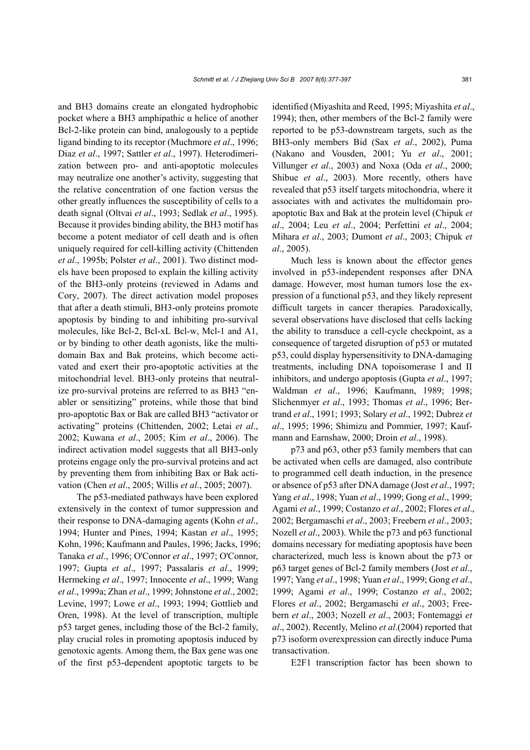and BH3 domains create an elongated hydrophobic pocket where a BH3 amphipathic  $α$  helice of another Bcl-2-like protein can bind, analogously to a peptide ligand binding to its receptor (Muchmore *et al*., 1996; Diaz *et al*., 1997; Sattler *et al*., 1997). Heterodimerization between pro- and anti-apoptotic molecules may neutralize one another's activity, suggesting that the relative concentration of one faction versus the other greatly influences the susceptibility of cells to a death signal (Oltvai *et al*., 1993; Sedlak *et al*., 1995). Because it provides binding ability, the BH3 motif has become a potent mediator of cell death and is often uniquely required for cell-killing activity (Chittenden *et al*., 1995b; Polster *et al*., 2001). Two distinct models have been proposed to explain the killing activity of the BH3-only proteins (reviewed in Adams and Cory, 2007). The direct activation model proposes that after a death stimuli, BH3-only proteins promote apoptosis by binding to and inhibiting pro-survival molecules, like Bcl-2, Bcl-xL Bcl-w, Mcl-1 and A1, or by binding to other death agonists, like the multidomain Bax and Bak proteins, which become activated and exert their pro-apoptotic activities at the mitochondrial level. BH3-only proteins that neutralize pro-survival proteins are referred to as BH3 "enabler or sensitizing" proteins, while those that bind pro-apoptotic Bax or Bak are called BH3 "activator or activating" proteins (Chittenden, 2002; Letai *et al*., 2002; Kuwana *et al*., 2005; Kim *et al*., 2006). The indirect activation model suggests that all BH3-only proteins engage only the pro-survival proteins and act by preventing them from inhibiting Bax or Bak activation (Chen *et al*., 2005; Willis *et al*., 2005; 2007).

The p53-mediated pathways have been explored extensively in the context of tumor suppression and their response to DNA-damaging agents (Kohn *et al*., 1994; Hunter and Pines, 1994; Kastan *et al*., 1995; Kohn, 1996; Kaufmann and Paules, 1996; Jacks, 1996; Tanaka *et al*., 1996; O'Connor *et al*., 1997; O'Connor, 1997; Gupta *et al*., 1997; Passalaris *et al*., 1999; Hermeking *et al*., 1997; Innocente *et al*., 1999; Wang *et al*., 1999a; Zhan *et al*., 1999; Johnstone *et al*., 2002; Levine, 1997; Lowe *et al*., 1993; 1994; Gottlieb and Oren, 1998). At the level of transcription, multiple p53 target genes, including those of the Bcl-2 family, play crucial roles in promoting apoptosis induced by genotoxic agents. Among them, the Bax gene was one of the first p53-dependent apoptotic targets to be

identified (Miyashita and Reed, 1995; Miyashita *et al*., 1994); then, other members of the Bcl-2 family were reported to be p53-downstream targets, such as the BH3-only members Bid (Sax *et al*., 2002), Puma (Nakano and Vousden, 2001; Yu *et al*., 2001; Villunger *et al*., 2003) and Noxa (Oda *et al*., 2000; Shibue *et al*., 2003). More recently, others have revealed that p53 itself targets mitochondria, where it associates with and activates the multidomain proapoptotic Bax and Bak at the protein level (Chipuk *et al*., 2004; Leu *et al*., 2004; Perfettini *et al*., 2004; Mihara *et al*., 2003; Dumont *et al*., 2003; Chipuk *et al*., 2005).

Much less is known about the effector genes involved in p53-independent responses after DNA damage. However, most human tumors lose the expression of a functional p53, and they likely represent difficult targets in cancer therapies. Paradoxically, several observations have disclosed that cells lacking the ability to transduce a cell-cycle checkpoint, as a consequence of targeted disruption of p53 or mutated p53, could display hypersensitivity to DNA-damaging treatments, including DNA topoisomerase I and II inhibitors, and undergo apoptosis (Gupta *et al*., 1997; Waldman *et al*., 1996; Kaufmann, 1989; 1998; Slichenmyer *et al*., 1993; Thomas *et al*., 1996; Bertrand *et al*., 1991; 1993; Solary *et al*., 1992; Dubrez *et al*., 1995; 1996; Shimizu and Pommier, 1997; Kaufmann and Earnshaw, 2000; Droin *et al*., 1998).

p73 and p63, other p53 family members that can be activated when cells are damaged, also contribute to programmed cell death induction, in the presence or absence of p53 after DNA damage (Jost *et al*., 1997; Yang *et al*., 1998; Yuan *et al*., 1999; Gong *et al*., 1999; Agami *et al*., 1999; Costanzo *et al*., 2002; Flores *et al*., 2002; Bergamaschi *et al*., 2003; Freebern *et al*., 2003; Nozell *et al*., 2003). While the p73 and p63 functional domains necessary for mediating apoptosis have been characterized, much less is known about the p73 or p63 target genes of Bcl-2 family members (Jost *et al*., 1997; Yang *et al*., 1998; Yuan *et al*., 1999; Gong *et al*., 1999; Agami *et al*., 1999; Costanzo *et al*., 2002; Flores *et al*., 2002; Bergamaschi *et al*., 2003; Freebern *et al*., 2003; Nozell *et al*., 2003; Fontemaggi *et al*., 2002). Recently, Melino *et al*.(2004) reported that p73 isoform overexpression can directly induce Puma transactivation.

E2F1 transcription factor has been shown to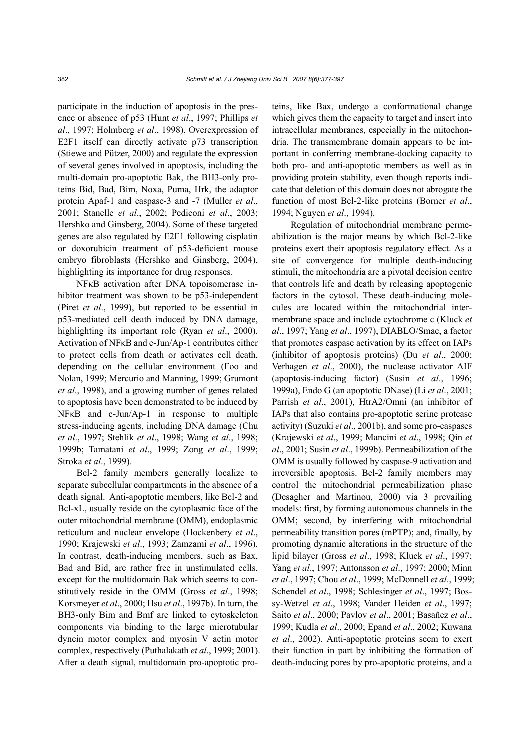participate in the induction of apoptosis in the presence or absence of p53 (Hunt *et al*., 1997; Phillips *et al*., 1997; Holmberg *et al*., 1998). Overexpression of E2F1 itself can directly activate p73 transcription (Stiewe and Pützer, 2000) and regulate the expression of several genes involved in apoptosis, including the multi-domain pro-apoptotic Bak, the BH3-only proteins Bid, Bad, Bim, Noxa, Puma, Hrk, the adaptor protein Apaf-1 and caspase-3 and -7 (Muller *et al*., 2001; Stanelle *et al*., 2002; Pediconi *et al*., 2003; Hershko and Ginsberg, 2004). Some of these targeted genes are also regulated by E2F1 following cisplatin or doxorubicin treatment of p53-deficient mouse embryo fibroblasts (Hershko and Ginsberg, 2004), highlighting its importance for drug responses.

NFκB activation after DNA topoisomerase inhibitor treatment was shown to be p53-independent (Piret *et al*., 1999), but reported to be essential in p53-mediated cell death induced by DNA damage, highlighting its important role (Ryan *et al*., 2000). Activation of NFκB and c-Jun/Ap-1 contributes either to protect cells from death or activates cell death, depending on the cellular environment (Foo and Nolan, 1999; Mercurio and Manning, 1999; Grumont *et al*., 1998), and a growing number of genes related to apoptosis have been demonstrated to be induced by NFκB and c-Jun/Ap-1 in response to multiple stress-inducing agents, including DNA damage (Chu *et al*., 1997; Stehlik *et al*., 1998; Wang *et al*., 1998; 1999b; Tamatani *et al*., 1999; Zong *et al*., 1999; Stroka *et al*., 1999).

Bcl-2 family members generally localize to separate subcellular compartments in the absence of a death signal. Anti-apoptotic members, like Bcl-2 and Bcl-xL, usually reside on the cytoplasmic face of the outer mitochondrial membrane (OMM), endoplasmic reticulum and nuclear envelope (Hockenbery *et al*., 1990; Krajewski *et al*., 1993; Zamzami *et al*., 1996). In contrast, death-inducing members, such as Bax, Bad and Bid, are rather free in unstimulated cells, except for the multidomain Bak which seems to constitutively reside in the OMM (Gross *et al*., 1998; Korsmeyer *et al*., 2000; Hsu *et al*., 1997b). In turn, the BH3-only Bim and Bmf are linked to cytoskeleton components via binding to the large microtubular dynein motor complex and myosin V actin motor complex, respectively (Puthalakath *et al*., 1999; 2001). After a death signal, multidomain pro-apoptotic proteins, like Bax, undergo a conformational change which gives them the capacity to target and insert into intracellular membranes, especially in the mitochondria. The transmembrane domain appears to be important in conferring membrane-docking capacity to both pro- and anti-apoptotic members as well as in providing protein stability, even though reports indicate that deletion of this domain does not abrogate the function of most Bcl-2-like proteins (Borner *et al*., 1994; Nguyen *et al*., 1994).

Regulation of mitochondrial membrane permeabilization is the major means by which Bcl-2-like proteins exert their apoptosis regulatory effect. As a site of convergence for multiple death-inducing stimuli, the mitochondria are a pivotal decision centre that controls life and death by releasing apoptogenic factors in the cytosol. These death-inducing molecules are located within the mitochondrial intermembrane space and include cytochrome c (Kluck *et al*., 1997; Yang *et al*., 1997), DIABLO/Smac, a factor that promotes caspase activation by its effect on IAPs (inhibitor of apoptosis proteins) (Du *et al*., 2000; Verhagen *et al*., 2000), the nuclease activator AIF (apoptosis-inducing factor) (Susin *et al*., 1996; 1999a), Endo G (an apoptotic DNase) (Li *et al*., 2001; Parrish *et al*., 2001), HtrA2/Omni (an inhibitor of IAPs that also contains pro-apoptotic serine protease activity) (Suzuki *et al*., 2001b), and some pro-caspases (Krajewski *et al*., 1999; Mancini *et al*., 1998; Qin *et al*., 2001; Susin *et al*., 1999b). Permeabilization of the OMM is usually followed by caspase-9 activation and irreversible apoptosis. Bcl-2 family members may control the mitochondrial permeabilization phase (Desagher and Martinou, 2000) via 3 prevailing models: first, by forming autonomous channels in the OMM; second, by interfering with mitochondrial permeability transition pores (mPTP); and, finally, by promoting dynamic alterations in the structure of the lipid bilayer (Gross *et al*., 1998; Kluck *et al*., 1997; Yang *et al*., 1997; Antonsson *et al*., 1997; 2000; Minn *et al*., 1997; Chou *et al*., 1999; McDonnell *et al*., 1999; Schendel *et al*., 1998; Schlesinger *et al*., 1997; Bossy-Wetzel *et al*., 1998; Vander Heiden *et al*., 1997; Saito *et al*., 2000; Pavlov *et al*., 2001; Basañez *et al*., 1999; Kudla *et al*., 2000; Epand *et al*., 2002; Kuwana *et al*., 2002). Anti-apoptotic proteins seem to exert their function in part by inhibiting the formation of death-inducing pores by pro-apoptotic proteins, and a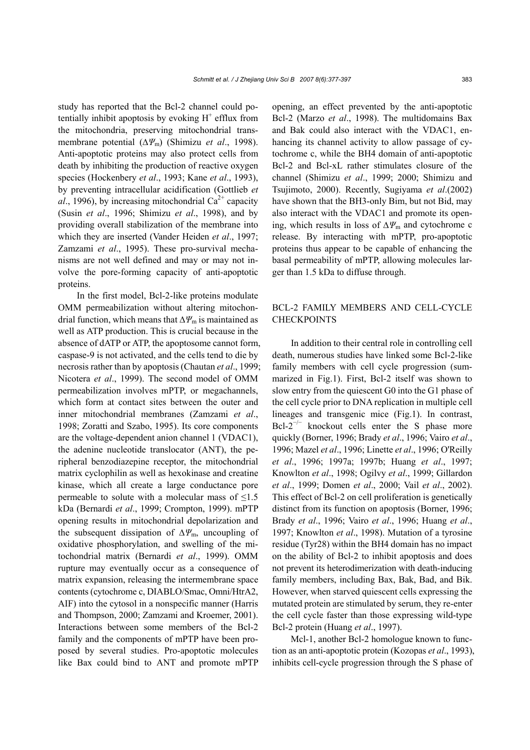study has reported that the Bcl-2 channel could potentially inhibit apoptosis by evoking  $H^+$  efflux from the mitochondria, preserving mitochondrial transmembrane potential (∆*Ψ*m) (Shimizu *et al*., 1998). Anti-apoptotic proteins may also protect cells from death by inhibiting the production of reactive oxygen species (Hockenbery *et al*., 1993; Kane *et al*., 1993), by preventing intracellular acidification (Gottlieb *et al.*, 1996), by increasing mitochondrial  $Ca^{2+}$  capacity (Susin *et al*., 1996; Shimizu *et al*., 1998), and by providing overall stabilization of the membrane into which they are inserted (Vander Heiden *et al*., 1997; Zamzami *et al*., 1995). These pro-survival mechanisms are not well defined and may or may not involve the pore-forming capacity of anti-apoptotic proteins.

In the first model, Bcl-2-like proteins modulate OMM permeabilization without altering mitochondrial function, which means that ∆*Ψ*m is maintained as well as ATP production. This is crucial because in the absence of dATP or ATP, the apoptosome cannot form, caspase-9 is not activated, and the cells tend to die by necrosis rather than by apoptosis (Chautan *et al*., 1999; Nicotera *et al*., 1999). The second model of OMM permeabilization involves mPTP, or megachannels, which form at contact sites between the outer and inner mitochondrial membranes (Zamzami *et al*., 1998; Zoratti and Szabo, 1995). Its core components are the voltage-dependent anion channel 1 (VDAC1), the adenine nucleotide translocator (ANT), the peripheral benzodiazepine receptor, the mitochondrial matrix cyclophilin as well as hexokinase and creatine kinase, which all create a large conductance pore permeable to solute with a molecular mass of  $\leq 1.5$ kDa (Bernardi *et al*., 1999; Crompton, 1999). mPTP opening results in mitochondrial depolarization and the subsequent dissipation of ∆*Ψ*m, uncoupling of oxidative phosphorylation, and swelling of the mitochondrial matrix (Bernardi *et al*., 1999). OMM rupture may eventually occur as a consequence of matrix expansion, releasing the intermembrane space contents (cytochrome c, DIABLO/Smac, Omni/HtrA2, AIF) into the cytosol in a nonspecific manner (Harris and Thompson, 2000; Zamzami and Kroemer, 2001). Interactions between some members of the Bcl-2 family and the components of mPTP have been proposed by several studies. Pro-apoptotic molecules like Bax could bind to ANT and promote mPTP

opening, an effect prevented by the anti-apoptotic Bcl-2 (Marzo *et al*., 1998). The multidomains Bax and Bak could also interact with the VDAC1, enhancing its channel activity to allow passage of cytochrome c, while the BH4 domain of anti-apoptotic Bcl-2 and Bcl-xL rather stimulates closure of the channel (Shimizu *et al*., 1999; 2000; Shimizu and Tsujimoto, 2000). Recently, Sugiyama *et al*.(2002) have shown that the BH3-only Bim, but not Bid, may also interact with the VDAC1 and promote its opening, which results in loss of ∆*Ψ*m and cytochrome c release. By interacting with mPTP, pro-apoptotic proteins thus appear to be capable of enhancing the basal permeability of mPTP, allowing molecules larger than 1.5 kDa to diffuse through.

# BCL-2 FAMILY MEMBERS AND CELL-CYCLE **CHECKPOINTS**

In addition to their central role in controlling cell death, numerous studies have linked some Bcl-2-like family members with cell cycle progression (summarized in Fig.1). First, Bcl-2 itself was shown to slow entry from the quiescent G0 into the G1 phase of the cell cycle prior to DNA replication in multiple cell lineages and transgenic mice (Fig.1). In contrast,  $Bcl-2^{-/-}$  knockout cells enter the S phase more quickly (Borner, 1996; Brady *et al*., 1996; Vairo *et al*., 1996; Mazel *et al*., 1996; Linette *et al*., 1996; O'Reilly *et al*., 1996; 1997a; 1997b; Huang *et al*., 1997; Knowlton *et al*., 1998; Ogilvy *et al*., 1999; Gillardon *et al*., 1999; Domen *et al*., 2000; Vail *et al*., 2002). This effect of Bcl-2 on cell proliferation is genetically distinct from its function on apoptosis (Borner, 1996; Brady *et al*., 1996; Vairo *et al*., 1996; Huang *et al*., 1997; Knowlton *et al*., 1998). Mutation of a tyrosine residue (Tyr28) within the BH4 domain has no impact on the ability of Bcl-2 to inhibit apoptosis and does not prevent its heterodimerization with death-inducing family members, including Bax, Bak, Bad, and Bik. However, when starved quiescent cells expressing the mutated protein are stimulated by serum, they re-enter the cell cycle faster than those expressing wild-type Bcl-2 protein (Huang *et al*., 1997).

Mcl-1, another Bcl-2 homologue known to function as an anti-apoptotic protein (Kozopas *et al*., 1993), inhibits cell-cycle progression through the S phase of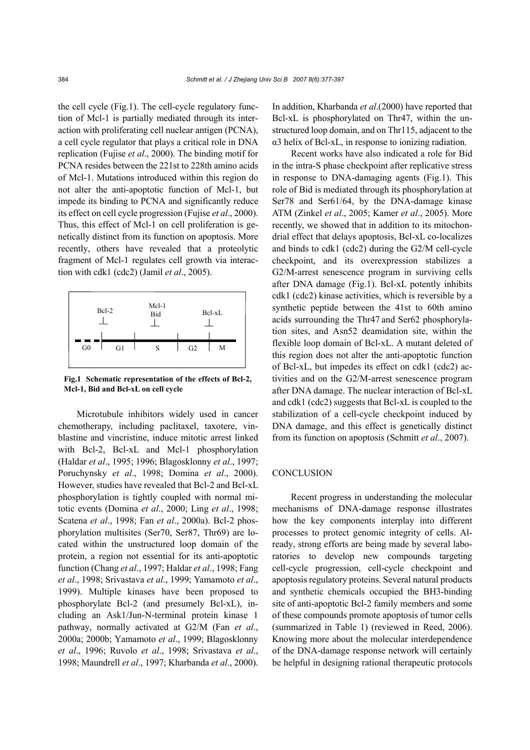the cell cycle (Fig.1). The cell-cycle regulatory function of Mcl-1 is partially mediated through its interaction with proliferating cell nuclear antigen (PCNA), a cell cycle regulator that plays a critical role in DNA replication (Fujise *et al*., 2000). The binding motif for PCNA resides between the 221st to 228th amino acids of Mcl-1. Mutations introduced within this region do not alter the anti-apoptotic function of Mcl-1, but impede its binding to PCNA and significantly reduce its effect on cell cycle progression (Fujise *et al*., 2000). Thus, this effect of Mcl-1 on cell proliferation is genetically distinct from its function on apoptosis. More recently, others have revealed that a proteolytic fragment of Mcl-1 regulates cell growth via interaction with cdk1 (cdc2) (Jamil *et al*., 2005).



**Fig.1 Schematic representation of the effects of Bcl-2, Mcl-1, Bid and Bcl-xL on cell cycle** 

Microtubule inhibitors widely used in cancer chemotherapy, including paclitaxel, taxotere, vinblastine and vincristine, induce mitotic arrest linked with Bcl-2, Bcl-xL and Mcl-1 phosphorylation (Haldar *et al*., 1995; 1996; Blagosklonny *et al*., 1997; Poruchynsky *et al*., 1998; Domina *et al*., 2000). However, studies have revealed that Bcl-2 and Bcl-xL phosphorylation is tightly coupled with normal mitotic events (Domina *et al*., 2000; Ling *et al*., 1998; Scatena *et al*., 1998; Fan *et al*., 2000a). Bcl-2 phosphorylation multisites (Ser70, Ser87, Thr69) are located within the unstructured loop domain of the protein, a region not essential for its anti-apoptotic function (Chang *et al*., 1997; Haldar *et al*., 1998; Fang *et al*., 1998; Srivastava *et al*., 1999; Yamamoto *et al*., 1999). Multiple kinases have been proposed to phosphorylate Bcl-2 (and presumely Bcl-xL), including an Ask1/Jun-N-terminal protein kinase 1 pathway, normally activated at G2/M (Fan *et al*., 2000a; 2000b; Yamamoto *et al*., 1999; Blagosklonny *et al*., 1996; Ruvolo *et al*., 1998; Srivastava *et al*., 1998; Maundrell *et al*., 1997; Kharbanda *et al*., 2000).

In addition, Kharbanda *et al*.(2000) have reported that Bcl-xL is phosphorylated on Thr47, within the unstructured loop domain, and on Thr115, adjacent to the α3 helix of Bcl-xL, in response to ionizing radiation.

Recent works have also indicated a role for Bid in the intra-S phase checkpoint after replicative stress in response to DNA-damaging agents (Fig.1). This role of Bid is mediated through its phosphorylation at Ser78 and Ser61/64, by the DNA-damage kinase ATM (Zinkel *et al*., 2005; Kamer *et al*., 2005). More recently, we showed that in addition to its mitochondrial effect that delays apoptosis, Bcl-xL co-localizes and binds to cdk1 (cdc2) during the G2/M cell-cycle checkpoint, and its overexpression stabilizes a G2/M-arrest senescence program in surviving cells after DNA damage (Fig.1). Bcl-xL potently inhibits cdk1 (cdc2) kinase activities, which is reversible by a synthetic peptide between the 41st to 60th amino acids surrounding the Thr47 and Ser62 phosphorylation sites, and Asn52 deamidation site, within the flexible loop domain of Bcl-xL. A mutant deleted of this region does not alter the anti-apoptotic function of Bcl-xL, but impedes its effect on cdk1 (cdc2) activities and on the G2/M-arrest senescence program after DNA damage. The nuclear interaction of Bcl-xL and cdk1 (cdc2) suggests that Bcl-xL is coupled to the stabilization of a cell-cycle checkpoint induced by DNA damage, and this effect is genetically distinct from its function on apoptosis (Schmitt *et al*., 2007).

#### **CONCLUSION**

Recent progress in understanding the molecular mechanisms of DNA-damage response illustrates how the key components interplay into different processes to protect genomic integrity of cells. Already, strong efforts are being made by several laboratories to develop new compounds targeting cell-cycle progression, cell-cycle checkpoint and apoptosis regulatory proteins. Several natural products and synthetic chemicals occupied the BH3-binding site of anti-apoptotic Bcl-2 family members and some of these compounds promote apoptosis of tumor cells (summarized in Table 1) (reviewed in Reed, 2006). Knowing more about the molecular interdependence of the DNA-damage response network will certainly be helpful in designing rational therapeutic protocols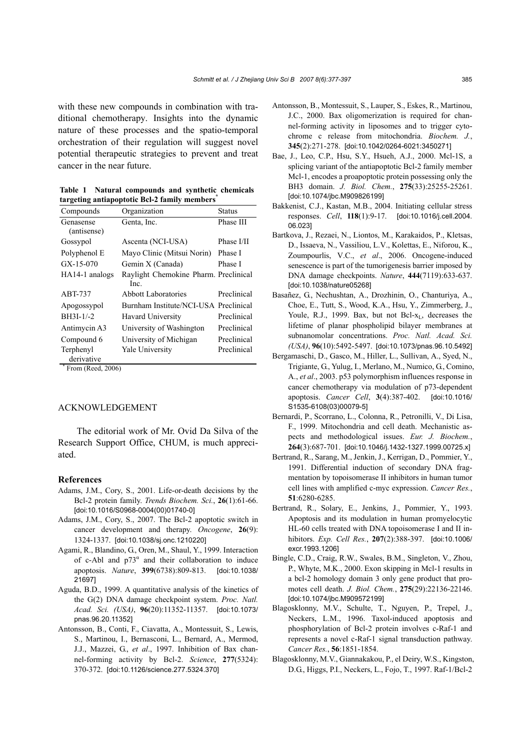with these new compounds in combination with traditional chemotherapy. Insights into the dynamic nature of these processes and the spatio-temporal orchestration of their regulation will suggest novel potential therapeutic strategies to prevent and treat cancer in the near future.

**Table 1 Natural compounds and synthetic chemicals targeting antiapoptotic Bcl-2 family members\***

| Compounds                | Organization                          | <b>Status</b> |
|--------------------------|---------------------------------------|---------------|
| Genasense<br>(antisense) | Genta, Inc.                           | Phase III     |
|                          |                                       |               |
| Gossypol                 | Ascenta (NCI-USA)                     | Phase I/II    |
| Polyphenol E             | Mayo Clinic (Mitsui Norin)            | Phase I       |
| $GX-15-070$              | Gemin X (Canada)                      | Phase I       |
| HA14-1 analogs           | Raylight Chemokine Pharm. Preclinical |               |
|                          | Inc.                                  |               |
| ABT-737                  | Abbott Laboratories                   | Preclinical   |
| Apogossypol              | Burnham Institute/NCI-USA Preclinical |               |
| $BH3I-1/-2$              | Havard University                     | Preclinical   |
| Antimycin A3             | University of Washington              | Preclinical   |
| Compound 6               | University of Michigan                | Preclinical   |
| Terphenyl                | Yale University                       | Preclinical   |
| derivative               |                                       |               |

 $*$  From (Reed, 2006)

# ACKNOWLEDGEMENT

The editorial work of Mr. Ovid Da Silva of the Research Support Office, CHUM, is much appreciated.

#### **References**

- Adams, J.M., Cory, S., 2001. Life-or-death decisions by the Bcl-2 protein family. *Trends Biochem. Sci.*, **26**(1):61-66. [doi:10.1016/S0968-0004(00)01740-0]
- Adams, J.M., Cory, S., 2007. The Bcl-2 apoptotic switch in cancer development and therapy. *Oncogene*, **26**(9): 1324-1337. [doi:10.1038/sj.onc.1210220]
- Agami, R., Blandino, G., Oren, M., Shaul, Y., 1999. Interaction of c-Abl and  $p73^{\alpha}$  and their collaboration to induce apoptosis. *Nature*, **399**(6738):809-813. [doi:10.1038/ 21697]
- Aguda, B.D., 1999. A quantitative analysis of the kinetics of the G(2) DNA damage checkpoint system. *Proc. Natl. Acad. Sci. (USA)*, **96**(20):11352-11357. [doi:10.1073/ pnas.96.20.11352]
- Antonsson, B., Conti, F., Ciavatta, A., Montessuit, S., Lewis, S., Martinou, I., Bernasconi, L., Bernard, A., Mermod, J.J., Mazzei, G., *et al*., 1997. Inhibition of Bax channel-forming activity by Bcl-2. *Science*, **277**(5324): 370-372. [doi:10.1126/science.277.5324.370]
- Antonsson, B., Montessuit, S., Lauper, S., Eskes, R., Martinou, J.C., 2000. Bax oligomerization is required for channel-forming activity in liposomes and to trigger cytochrome c release from mitochondria. *Biochem. J.*, **345**(2):271-278. [doi:10.1042/0264-6021:3450271]
- Bae, J., Leo, C.P., Hsu, S.Y., Hsueh, A.J., 2000. Mcl-1S, a splicing variant of the antiapoptotic Bcl-2 family member Mcl-1, encodes a proapoptotic protein possessing only the BH3 domain. *J. Biol. Chem.*, **275**(33):25255-25261. [doi:10.1074/jbc.M909826199]
- Bakkenist, C.J., Kastan, M.B., 2004. Initiating cellular stress responses. *Cell*, **118**(1):9-17. [doi:10.1016/j.cell.2004. 06.023]
- Bartkova, J., Rezaei, N., Liontos, M., Karakaidos, P., Kletsas, D., Issaeva, N., Vassiliou, L.V., Kolettas, E., Niforou, K., Zoumpourlis, V.C., *et al*., 2006. Oncogene-induced senescence is part of the tumorigenesis barrier imposed by DNA damage checkpoints. *Nature*, **444**(7119):633-637. [doi:10.1038/nature05268]
- Basañez, G., Nechushtan, A., Drozhinin, O., Chanturiya, A., Choe, E., Tutt, S., Wood, K.A., Hsu, Y., Zimmerberg, J., Youle, R.J., 1999. Bax, but not Bcl- $x_L$ , decreases the lifetime of planar phospholipid bilayer membranes at subnanomolar concentrations. *Proc. Natl. Acad. Sci. (USA)*, **96**(10):5492-5497. [doi:10.1073/pnas.96.10.5492]
- Bergamaschi, D., Gasco, M., Hiller, L., Sullivan, A., Syed, N., Trigiante, G., Yulug, I., Merlano, M., Numico, G., Comino, A., *et al*., 2003. p53 polymorphism influences response in cancer chemotherapy via modulation of p73-dependent apoptosis. *Cancer Cell*, **3**(4):387-402. [doi:10.1016/ S1535-6108(03)00079-5]
- Bernardi, P., Scorrano, L., Colonna, R., Petronilli, V., Di Lisa, F., 1999. Mitochondria and cell death. Mechanistic aspects and methodological issues. *Eur. J. Biochem.*, **264**(3):687-701. [doi:10.1046/j.1432-1327.1999.00725.x]
- Bertrand, R., Sarang, M., Jenkin, J., Kerrigan, D., Pommier, Y., 1991. Differential induction of secondary DNA fragmentation by topoisomerase II inhibitors in human tumor cell lines with amplified c-myc expression. *Cancer Res.*, **51**:6280-6285.
- Bertrand, R., Solary, E., Jenkins, J., Pommier, Y., 1993. Apoptosis and its modulation in human promyelocytic HL-60 cells treated with DNA topoisomerase I and II inhibitors. *Exp. Cell Res.*, **207**(2):388-397. [doi:10.1006/ excr.1993.1206]
- Bingle, C.D., Craig, R.W., Swales, B.M., Singleton, V., Zhou, P., Whyte, M.K., 2000. Exon skipping in Mcl-1 results in a bcl-2 homology domain 3 only gene product that promotes cell death. *J. Biol. Chem.*, **275**(29):22136-22146. [doi:10.1074/jbc.M909572199]
- Blagosklonny, M.V., Schulte, T., Nguyen, P., Trepel, J., Neckers, L.M., 1996. Taxol-induced apoptosis and phosphorylation of Bcl-2 protein involves c-Raf-1 and represents a novel c-Raf-1 signal transduction pathway. *Cancer Res.*, **56**:1851-1854.
- Blagosklonny, M.V., Giannakakou, P., el Deiry, W.S., Kingston, D.G., Higgs, P.I., Neckers, L., Fojo, T., 1997. Raf-1/Bcl-2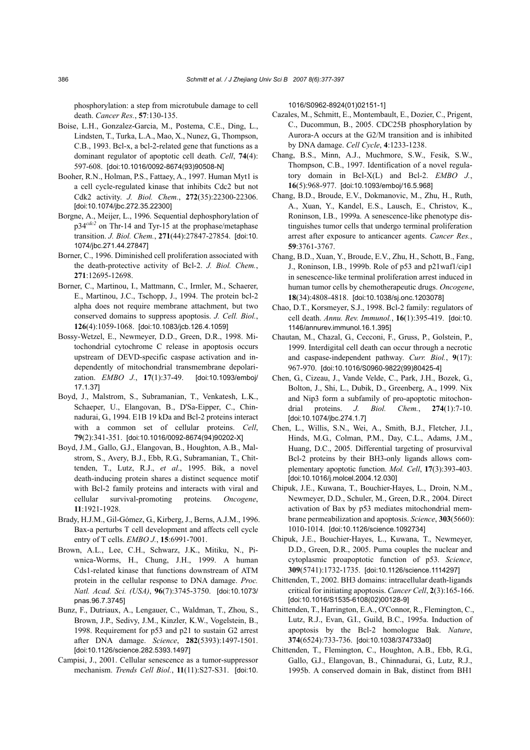phosphorylation: a step from microtubule damage to cell death. *Cancer Res.*, **57**:130-135.

- Boise, L.H., Gonzalez-Garcia, M., Postema, C.E., Ding, L., Lindsten, T., Turka, L.A., Mao, X., Nunez, G., Thompson, C.B., 1993. Bcl-x, a bcl-2-related gene that functions as a dominant regulator of apoptotic cell death. *Cell*, **74**(4): 597-608. [doi:10.1016/0092-8674(93)90508-N]
- Booher, R.N., Holman, P.S., Fattaey, A., 1997. Human Myt1 is a cell cycle-regulated kinase that inhibits Cdc2 but not Cdk2 activity. *J. Biol. Chem.*, **272**(35):22300-22306. [doi:10.1074/jbc.272.35.22300]
- Borgne, A., Meijer, L., 1996. Sequential dephosphorylation of p34*cdc2* on Thr-14 and Tyr-15 at the prophase/metaphase transition. *J. Biol. Chem.*, **271**(44):27847-27854. [doi:10. 1074/jbc.271.44.27847]
- Borner, C., 1996. Diminished cell proliferation associated with the death-protective activity of Bcl-2. *J. Biol. Chem.*, **271**:12695-12698.
- Borner, C., Martinou, I., Mattmann, C., Irmler, M., Schaerer, E., Martinou, J.C., Tschopp, J., 1994. The protein bcl-2 alpha does not require membrane attachment, but two conserved domains to suppress apoptosis. *J. Cell. Biol.*, **126**(4):1059-1068. [doi:10.1083/jcb.126.4.1059]
- Bossy-Wetzel, E., Newmeyer, D.D., Green, D.R., 1998. Mitochondrial cytochrome C release in apoptosis occurs upstream of DEVD-specific caspase activation and independently of mitochondrial transmembrane depolarization. *EMBO J.*, **17**(1):37-49. [doi:10.1093/emboj/ 17.1.37]
- Boyd, J., Malstrom, S., Subramanian, T., Venkatesh, L.K., Schaeper, U., Elangovan, B., D'Sa-Eipper, C., Chinnadurai, G., 1994. E1B 19 kDa and Bcl-2 proteins interact with a common set of cellular proteins. *Cell*, **79**(2):341-351. [doi:10.1016/0092-8674(94)90202-X]
- Boyd, J.M., Gallo, G.J., Elangovan, B., Houghton, A.B., Malstrom, S., Avery, B.J., Ebb, R.G., Subramanian, T., Chittenden, T., Lutz, R.J., *et al*., 1995. Bik, a novel death-inducing protein shares a distinct sequence motif with Bcl-2 family proteins and interacts with viral and cellular survival-promoting proteins. *Oncogene*, **11**:1921-1928.
- Brady, H.J.M., Gil-Gómez, G., Kirberg, J., Berns, A.J.M., 1996. Bax-a perturbs T cell development and affects cell cycle entry of T cells. *EMBO J.*, **15**:6991-7001.
- Brown, A.L., Lee, C.H., Schwarz, J.K., Mitiku, N., Piwnica-Worms, H., Chung, J.H., 1999. A human Cds1-related kinase that functions downstream of ATM protein in the cellular response to DNA damage. *Proc. Natl. Acad. Sci. (USA)*, **96**(7):3745-3750. [doi:10.1073/ pnas.96.7.3745]
- Bunz, F., Dutriaux, A., Lengauer, C., Waldman, T., Zhou, S., Brown, J.P., Sedivy, J.M., Kinzler, K.W., Vogelstein, B., 1998. Requirement for p53 and p21 to sustain G2 arrest after DNA damage. *Science*, **282**(5393):1497-1501. [doi:10.1126/science.282.5393.1497]
- Campisi, J., 2001. Cellular senescence as a tumor-suppressor mechanism. *Trends Cell Biol.*, **11**(11):S27-S31. [doi:10.

1016/S0962-8924(01)02151-1]

- Cazales, M., Schmitt, E., Montembault, E., Dozier, C., Prigent, C., Ducommun, B., 2005. CDC25B phosphorylation by Aurora-A occurs at the G2/M transition and is inhibited by DNA damage. *Cell Cycle*, **4**:1233-1238.
- Chang, B.S., Minn, A.J., Muchmore, S.W., Fesik, S.W., Thompson, C.B., 1997. Identification of a novel regulatory domain in Bcl-X(L) and Bcl-2. *EMBO J.*, **16**(5):968-977. [doi:10.1093/emboj/16.5.968]
- Chang, B.D., Broude, E.V., Dokmanovic, M., Zhu, H., Ruth, A., Xuan, Y., Kandel, E.S., Lausch, E., Christov, K., Roninson, I.B., 1999a. A senescence-like phenotype distinguishes tumor cells that undergo terminal proliferation arrest after exposure to anticancer agents. *Cancer Res.*, **59**:3761-3767.
- Chang, B.D., Xuan, Y., Broude, E.V., Zhu, H., Schott, B., Fang, J., Roninson, I.B., 1999b. Role of p53 and p21waf1/cip1 in senescence-like terminal proliferation arrest induced in human tumor cells by chemotherapeutic drugs. *Oncogene*, **18**(34):4808-4818. [doi:10.1038/sj.onc.1203078]
- Chao, D.T., Korsmeyer, S.J., 1998. Bcl-2 family: regulators of cell death. *Annu. Rev. Immunol.*, **16**(1):395-419. [doi:10. 1146/annurev.immunol.16.1.395]
- Chautan, M., Chazal, G., Cecconi, F., Gruss, P., Golstein, P., 1999. Interdigital cell death can occur through a necrotic and caspase-independent pathway. *Curr. Biol.*, **9**(17): 967-970. [doi:10.1016/S0960-9822(99)80425-4]
- Chen, G., Cizeau, J., Vande Velde, C., Park, J.H., Bozek, G., Bolton, J., Shi, L., Dubik, D., Greenberg, A., 1999. Nix and Nip3 form a subfamily of pro-apoptotic mitochondrial proteins. *J. Biol. Chem.*, **274**(1):7-10. [doi:10.1074/jbc.274.1.7]
- Chen, L., Willis, S.N., Wei, A., Smith, B.J., Fletcher, J.I., Hinds, M.G., Colman, P.M., Day, C.L., Adams, J.M., Huang, D.C., 2005. Differential targeting of prosurvival Bcl-2 proteins by their BH3-only ligands allows complementary apoptotic function. *Mol. Cell*, **17**(3):393-403. [doi:10.1016/j.molcel.2004.12.030]
- Chipuk, J.E., Kuwana, T., Bouchier-Hayes, L., Droin, N.M., Newmeyer, D.D., Schuler, M., Green, D.R., 2004. Direct activation of Bax by p53 mediates mitochondrial membrane permeabilization and apoptosis. *Science*, **303**(5660): 1010-1014. [doi:10.1126/science.1092734]
- Chipuk, J.E., Bouchier-Hayes, L., Kuwana, T., Newmeyer, D.D., Green, D.R., 2005. Puma couples the nuclear and cytoplasmic proapoptotic function of p53. *Science*, **309**(5741):1732-1735. [doi:10.1126/science.1114297]
- Chittenden, T., 2002. BH3 domains: intracellular death-ligands critical for initiating apoptosis. *Cancer Cell*, **2**(3):165-166. [doi:10.1016/S1535-6108(02)00128-9]
- Chittenden, T., Harrington, E.A., O'Connor, R., Flemington, C., Lutz, R.J., Evan, G.I., Guild, B.C., 1995a. Induction of apoptosis by the Bcl-2 homologue Bak. *Nature*, **374**(6524):733-736. [doi:10.1038/374733a0]
- Chittenden, T., Flemington, C., Houghton, A.B., Ebb, R.G., Gallo, G.J., Elangovan, B., Chinnadurai, G., Lutz, R.J., 1995b. A conserved domain in Bak, distinct from BH1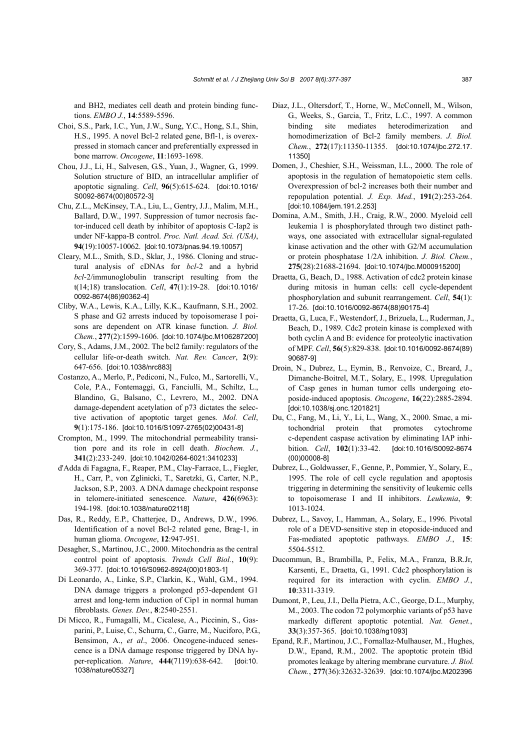and BH2, mediates cell death and protein binding functions. *EMBO J.*, **14**:5589-5596.

- Choi, S.S., Park, I.C., Yun, J.W., Sung, Y.C., Hong, S.I., Shin, H.S., 1995. A novel Bcl-2 related gene, Bfl-1, is overexpressed in stomach cancer and preferentially expressed in bone marrow. *Oncogene*, **11**:1693-1698.
- Chou, J.J., Li, H., Salvesen, G.S., Yuan, J., Wagner, G., 1999. Solution structure of BID, an intracellular amplifier of apoptotic signaling. *Cell*, **96**(5):615-624. [doi:10.1016/ S0092-8674(00)80572-3]
- Chu, Z.L., McKinsey, T.A., Liu, L., Gentry, J.J., Malim, M.H., Ballard, D.W., 1997. Suppression of tumor necrosis factor-induced cell death by inhibitor of apoptosis C-Iap2 is under NF-kappa-B control. *Proc. Natl. Acad. Sci. (USA)*, **94**(19):10057-10062. [doi:10.1073/pnas.94.19.10057]
- Cleary, M.L., Smith, S.D., Sklar, J., 1986. Cloning and structural analysis of cDNAs for *bcl*-2 and a hybrid *bcl*-2/immunoglobulin transcript resulting from the t(14;18) translocation. *Cell*, **47**(1):19-28. [doi:10.1016/ 0092-8674(86)90362-4]
- Cliby, W.A., Lewis, K.A., Lilly, K.K., Kaufmann, S.H., 2002. S phase and G2 arrests induced by topoisomerase I poisons are dependent on ATR kinase function. *J. Biol. Chem.*, **277**(2):1599-1606. [doi:10.1074/jbc.M106287200]
- Cory, S., Adams, J.M., 2002. The bcl2 family: regulators of the cellular life-or-death switch. *Nat. Rev. Cancer*, **2**(9): 647-656. [doi:10.1038/nrc883]
- Costanzo, A., Merlo, P., Pediconi, N., Fulco, M., Sartorelli, V., Cole, P.A., Fontemaggi, G., Fanciulli, M., Schiltz, L., Blandino, G., Balsano, C., Levrero, M., 2002. DNA damage-dependent acetylation of p73 dictates the selective activation of apoptotic target genes. *Mol. Cell*, **9**(1):175-186. [doi:10.1016/S1097-2765(02)00431-8]
- Crompton, M., 1999. The mitochondrial permeability transition pore and its role in cell death. *Biochem. J.*, **341**(2):233-249. [doi:10.1042/0264-6021:3410233]
- d'Adda di Fagagna, F., Reaper, P.M., Clay-Farrace, L., Fiegler, H., Carr, P., von Zglinicki, T., Saretzki, G., Carter, N.P., Jackson, S.P., 2003. A DNA damage checkpoint response in telomere-initiated senescence. *Nature*, **426**(6963): 194-198. [doi:10.1038/nature02118]
- Das, R., Reddy, E.P., Chatterjee, D., Andrews, D.W., 1996. Identification of a novel Bcl-2 related gene, Brag-1, in human glioma. *Oncogene*, **12**:947-951.
- Desagher, S., Martinou, J.C., 2000. Mitochondria as the central control point of apoptosis. *Trends Cell Biol.*, **10**(9): 369-377. [doi:10.1016/S0962-8924(00)01803-1]
- Di Leonardo, A., Linke, S.P., Clarkin, K., Wahl, G.M., 1994. DNA damage triggers a prolonged p53-dependent G1 arrest and long-term induction of Cip1 in normal human fibroblasts. *Genes. Dev.*, **8**:2540-2551.
- Di Micco, R., Fumagalli, M., Cicalese, A., Piccinin, S., Gasparini, P., Luise, C., Schurra, C., Garre, M., Nuciforo, P.G., Bensimon, A., *et al*., 2006. Oncogene-induced senescence is a DNA damage response triggered by DNA hyper-replication. *Nature*, **444**(7119):638-642. [doi:10. 1038/nature05327]
- Diaz, J.L., Oltersdorf, T., Horne, W., McConnell, M., Wilson, G., Weeks, S., Garcia, T., Fritz, L.C., 1997. A common binding site mediates heterodimerization and homodimerization of Bcl-2 family members. *J. Biol. Chem.*, **272**(17):11350-11355. [doi:10.1074/jbc.272.17. 11350]
- Domen, J., Cheshier, S.H., Weissman, I.L., 2000. The role of apoptosis in the regulation of hematopoietic stem cells. Overexpression of bcl-2 increases both their number and repopulation potential. *J. Exp. Med.*, **191**(2):253-264. [doi:10.1084/jem.191.2.253]
- Domina, A.M., Smith, J.H., Craig, R.W., 2000. Myeloid cell leukemia 1 is phosphorylated through two distinct pathways, one associated with extracellular signal-regulated kinase activation and the other with G2/M accumulation or protein phosphatase 1/2A inhibition. *J. Biol. Chem.*, **275**(28):21688-21694. [doi:10.1074/jbc.M000915200]
- Draetta, G., Beach, D., 1988. Activation of cdc2 protein kinase during mitosis in human cells: cell cycle-dependent phosphorylation and subunit rearrangement. *Cell*, **54**(1): 17-26. [doi:10.1016/0092-8674(88)90175-4]
- Draetta, G., Luca, F., Westendorf, J., Brizuela, L., Ruderman, J., Beach, D., 1989. Cdc2 protein kinase is complexed with both cyclin A and B: evidence for proteolytic inactivation of MPF. *Cell*, **56**(5):829-838. [doi:10.1016/0092-8674(89) 90687-9]
- Droin, N., Dubrez, L., Eymin, B., Renvoize, C., Breard, J., Dimanche-Boitrel, M.T., Solary, E., 1998. Upregulation of Casp genes in human tumor cells undergoing etoposide-induced apoptosis. *Oncogene*, **16**(22):2885-2894. [doi:10.1038/sj.onc.1201821]
- Du, C., Fang, M., Li, Y., Li, L., Wang, X., 2000. Smac, a mitochondrial protein that promotes cytochrome c-dependent caspase activation by eliminating IAP inhibition. *Cell*, **102**(1):33-42. [doi:10.1016/S0092-8674 (00)00008-8]
- Dubrez, L., Goldwasser, F., Genne, P., Pommier, Y., Solary, E., 1995. The role of cell cycle regulation and apoptosis triggering in determining the sensitivity of leukemic cells to topoisomerase I and II inhibitors. *Leukemia*, **9**: 1013-1024.
- Dubrez, L., Savoy, I., Hamman, A., Solary, E., 1996. Pivotal role of a DEVD-sensitive step in etoposide-induced and Fas-mediated apoptotic pathways. *EMBO J.*, **15**: 5504-5512.
- Ducommun, B., Brambilla, P., Felix, M.A., Franza, B.R.Jr, Karsenti, E., Draetta, G., 1991. Cdc2 phosphorylation is required for its interaction with cyclin. *EMBO J.*, **10**:3311-3319.
- Dumont, P., Leu, J.I., Della Pietra, A.C., George, D.L., Murphy, M., 2003. The codon 72 polymorphic variants of p53 have markedly different apoptotic potential. *Nat. Genet.*, **33**(3):357-365. [doi:10.1038/ng1093]
- Epand, R.F., Martinou, J.C., Fornallaz-Mulhauser, M., Hughes, D.W., Epand, R.M., 2002. The apoptotic protein tBid promotes leakage by altering membrane curvature. *J. Biol. Chem.*, **277**(36):32632-32639. [doi:10.1074/jbc.M202396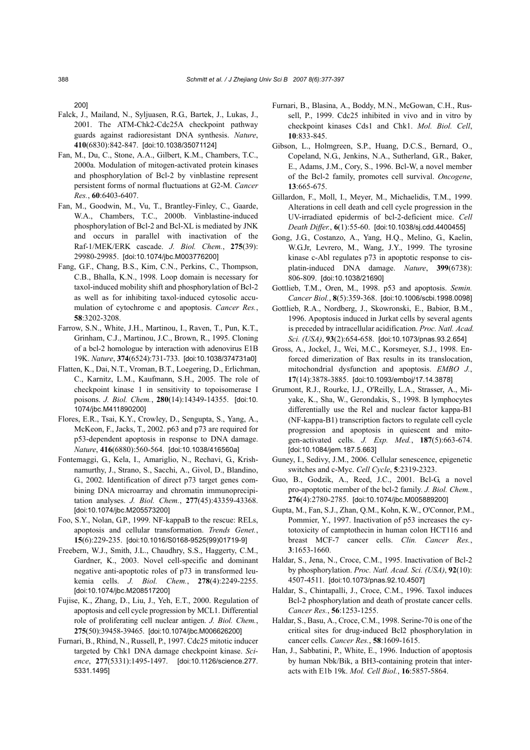200]

- Falck, J., Mailand, N., Syljuasen, R.G., Bartek, J., Lukas, J., 2001. The ATM-Chk2-Cdc25A checkpoint pathway guards against radioresistant DNA synthesis. *Nature*, **410**(6830):842-847. [doi:10.1038/35071124]
- Fan, M., Du, C., Stone, A.A., Gilbert, K.M., Chambers, T.C., 2000a. Modulation of mitogen-activated protein kinases and phosphorylation of Bcl-2 by vinblastine represent persistent forms of normal fluctuations at G2-M. *Cancer Res.*, **60**:6403-6407.
- Fan, M., Goodwin, M., Vu, T., Brantley-Finley, C., Gaarde, W.A., Chambers, T.C., 2000b. Vinblastine-induced phosphorylation of Bcl-2 and Bcl-XL is mediated by JNK and occurs in parallel with inactivation of the Raf-1/MEK/ERK cascade. *J. Biol. Chem.*, **275**(39): 29980-29985. [doi:10.1074/jbc.M003776200]
- Fang, G.F., Chang, B.S., Kim, C.N., Perkins, C., Thompson, C.B., Bhalla, K.N., 1998. Loop domain is necessary for taxol-induced mobility shift and phosphorylation of Bcl-2 as well as for inhibiting taxol-induced cytosolic accumulation of cytochrome c and apoptosis. *Cancer Res.*, **58**:3202-3208.
- Farrow, S.N., White, J.H., Martinou, I., Raven, T., Pun, K.T., Grinham, C.J., Martinou, J.C., Brown, R., 1995. Cloning of a bcl-2 homologue by interaction with adenovirus E1B 19K. *Nature*, **374**(6524):731-733. [doi:10.1038/374731a0]
- Flatten, K., Dai, N.T., Vroman, B.T., Loegering, D., Erlichman, C., Karnitz, L.M., Kaufmann, S.H., 2005. The role of checkpoint kinase 1 in sensitivity to topoisomerase I poisons. *J. Biol. Chem.*, **280**(14):14349-14355. [doi:10. 1074/jbc.M411890200]
- Flores, E.R., Tsai, K.Y., Crowley, D., Sengupta, S., Yang, A., McKeon, F., Jacks, T., 2002. p63 and p73 are required for p53-dependent apoptosis in response to DNA damage. *Nature*, **416**(6880):560-564. [doi:10.1038/416560a]
- Fontemaggi, G., Kela, I., Amariglio, N., Rechavi, G., Krishnamurthy, J., Strano, S., Sacchi, A., Givol, D., Blandino, G., 2002. Identification of direct p73 target genes combining DNA microarray and chromatin immunoprecipitation analyses. *J. Biol. Chem.*, **277**(45):43359-43368. [doi:10.1074/jbc.M205573200]
- Foo, S.Y., Nolan, G.P., 1999. NF-kappaB to the rescue: RELs, apoptosis and cellular transformation. *Trends Genet.*, **15**(6):229-235. [doi:10.1016/S0168-9525(99)01719-9]
- Freebern, W.J., Smith, J.L., Chaudhry, S.S., Haggerty, C.M., Gardner, K., 2003. Novel cell-specific and dominant negative anti-apoptotic roles of p73 in transformed leukemia cells. *J. Biol. Chem.*, **278**(4):2249-2255. [doi:10.1074/jbc.M208517200]
- Fujise, K., Zhang, D., Liu, J., Yeh, E.T., 2000. Regulation of apoptosis and cell cycle progression by MCL1. Differential role of proliferating cell nuclear antigen. *J. Biol. Chem.*, **275**(50):39458-39465. [doi:10.1074/jbc.M006626200]
- Furnari, B., Rhind, N., Russell, P., 1997. Cdc25 mitotic inducer targeted by Chk1 DNA damage checkpoint kinase. *Science*, **277**(5331):1495-1497. [doi:10.1126/science.277. 5331.1495]
- Furnari, B., Blasina, A., Boddy, M.N., McGowan, C.H., Russell, P., 1999. Cdc25 inhibited in vivo and in vitro by checkpoint kinases Cds1 and Chk1. *Mol. Biol. Cell*, **10**:833-845.
- Gibson, L., Holmgreen, S.P., Huang, D.C.S., Bernard, O., Copeland, N.G., Jenkins, N.A., Sutherland, G.R., Baker, E., Adams, J.M., Cory, S., 1996. Bcl-W, a novel member of the Bcl-2 family, promotes cell survival. *Oncogene*, **13**:665-675.
- Gillardon, F., Moll, I., Meyer, M., Michaelidis, T.M., 1999. Alterations in cell death and cell cycle progression in the UV-irradiated epidermis of bcl-2-deficient mice. *Cell Death Differ.*, **6**(1):55-60. [doi:10.1038/sj.cdd.4400455]
- Gong, J.G., Costanzo, A., Yang, H.Q., Melino, G., Kaelin, W.G.Jr, Levrero, M., Wang, J.Y., 1999. The tyrosine kinase c-Abl regulates p73 in apoptotic response to cisplatin-induced DNA damage. *Nature*, **399**(6738): 806-809. [doi:10.1038/21690]
- Gottlieb, T.M., Oren, M., 1998. p53 and apoptosis. *Semin. Cancer Biol.*, **8**(5):359-368. [doi:10.1006/scbi.1998.0098]
- Gottlieb, R.A., Nordberg, J., Skowronski, E., Babior, B.M., 1996. Apoptosis induced in Jurkat cells by several agents is preceded by intracellular acidification. *Proc. Natl. Acad. Sci. (USA)*, **93**(2):654-658. [doi:10.1073/pnas.93.2.654]
- Gross, A., Jockel, J., Wei, M.C., Korsmeyer, S.J., 1998. Enforced dimerization of Bax results in its translocation, mitochondrial dysfunction and apoptosis. *EMBO J.*, **17**(14):3878-3885. [doi:10.1093/emboj/17.14.3878]
- Grumont, R.J., Rourke, I.J., O'Reilly, L.A., Strasser, A., Miyake, K., Sha, W., Gerondakis, S., 1998. B lymphocytes differentially use the Rel and nuclear factor kappa-B1 (NF-kappa-B1) transcription factors to regulate cell cycle progression and apoptosis in quiescent and mitogen-activated cells. *J. Exp. Med.*, **187**(5):663-674. [doi:10.1084/jem.187.5.663]
- Guney, I., Sedivy, J.M., 2006. Cellular senescence, epigenetic switches and c-Myc. *Cell Cycle*, **5**:2319-2323.
- Guo, B., Godzik, A., Reed, J.C., 2001. Bcl-G, a novel pro-apoptotic member of the bcl-2 family. *J. Biol. Chem.*, **276**(4):2780-2785. [doi:10.1074/jbc.M005889200]
- Gupta, M., Fan, S.J., Zhan, Q.M., Kohn, K.W., O'Connor, P.M., Pommier, Y., 1997. Inactivation of p53 increases the cytotoxicity of camptothecin in human colon HCT116 and breast MCF-7 cancer cells. *Clin. Cancer Res.*, **3**:1653-1660.
- Haldar, S., Jena, N., Croce, C.M., 1995. Inactivation of Bcl-2 by phosphorylation. *Proc. Natl. Acad. Sci. (USA)*, **92**(10): 4507-4511. [doi:10.1073/pnas.92.10.4507]
- Haldar, S., Chintapalli, J., Croce, C.M., 1996. Taxol induces Bcl-2 phosphorylation and death of prostate cancer cells. *Cancer Res.*, **56**:1253-1255.
- Haldar, S., Basu, A., Croce, C.M., 1998. Serine-70 is one of the critical sites for drug-induced Bcl2 phosphorylation in cancer cells. *Cancer Res.*, **58**:1609-1615.
- Han, J., Sabbatini, P., White, E., 1996. Induction of apoptosis by human Nbk/Bik, a BH3-containing protein that interacts with E1b 19k. *Mol. Cell Biol.*, **16**:5857-5864.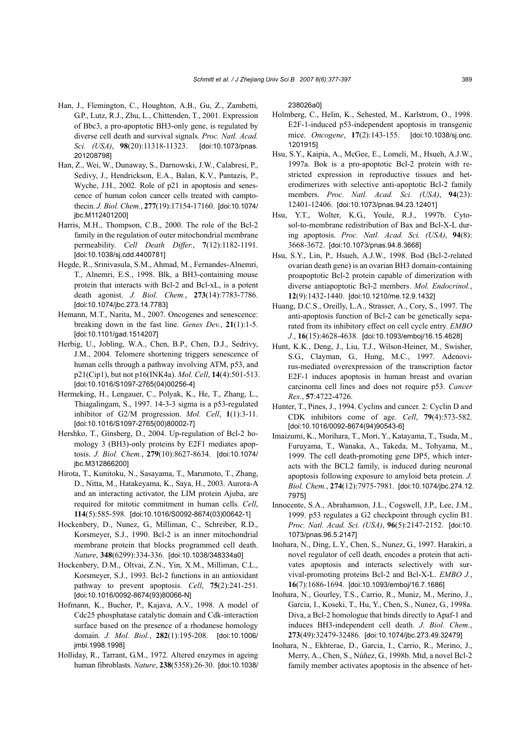- Han, J., Flemington, C., Houghton, A.B., Gu, Z., Zambetti, G.P., Lutz, R.J., Zhu, L., Chittenden, T., 2001. Expression of Bbc3, a pro-apoptotic BH3-only gene, is regulated by diverse cell death and survival signals. *Proc. Natl. Acad. Sci. (USA)*, **98**(20):11318-11323. [doi:10.1073/pnas. 201208798]
- Han, Z., Wei, W., Dunaway, S., Darnowski, J.W., Calabresi, P., Sedivy, J., Hendrickson, E.A., Balan, K.V., Pantazis, P., Wyche, J.H., 2002. Role of p21 in apoptosis and senescence of human colon cancer cells treated with camptothecin. *J. Biol. Chem.*, **277**(19):17154-17160. [doi:10.1074/ jbc.M112401200]
- Harris, M.H., Thompson, C.B., 2000. The role of the Bcl-2 family in the regulation of outer mitochondrial membrane permeability. *Cell Death Differ.*, **7**(12):1182-1191. [doi:10.1038/sj.cdd.4400781]
- Hegde, R., Srinivasula, S.M., Ahmad, M., Fernandes-Alnemri, T., Alnemri, E.S., 1998. Blk, a BH3-containing mouse protein that interacts with Bcl-2 and Bcl-xL, is a potent death agonist. *J. Biol. Chem.*, **273**(14):7783-7786. [doi:10.1074/jbc.273.14.7783]
- Hemann, M.T., Narita, M., 2007. Oncogenes and senescence: breaking down in the fast line. *Genes Dev.*, **21**(1):1-5. [doi:10.1101/gad.1514207]
- Herbig, U., Jobling, W.A., Chen, B.P., Chen, D.J., Sedrivy, J.M., 2004. Telomere shortening triggers senescence of human cells through a pathway involving ATM, p53, and p21(Cip1), but not p16(INK4a). *Mol. Cell*, **14**(4):501-513. [doi:10.1016/S1097-2765(04)00256-4]
- Hermeking, H., Lengauer, C., Polyak, K., He, T., Zhang, L., Thiagalingam, S., 1997. 14-3-3 sigma is a p53-regulated inhibitor of G2/M progression. *Mol. Cell*, **1**(1):3-11. [doi:10.1016/S1097-2765(00)80002-7]
- Hershko, T., Ginsberg, D., 2004. Up-regulation of Bcl-2 homology 3 (BH3)-only proteins by E2F1 mediates apoptosis. *J. Biol. Chem.*, **279**(10):8627-8634. [doi:10.1074/ jbc.M312866200]
- Hirota, T., Kunitoku, N., Sasayama, T., Marumoto, T., Zhang, D., Nitta, M., Hatakeyama, K., Saya, H., 2003. Aurora-A and an interacting activator, the LIM protein Ajuba, are required for mitotic commitment in human cells. *Cell*, **114**(5):585-598. [doi:10.1016/S0092-8674(03)00642-1]
- Hockenbery, D., Nunez, G., Milliman, C., Schreiber, R.D., Korsmeyer, S.J., 1990. Bcl-2 is an inner mitochondrial membrane protein that blocks programmed cell death. *Nature*, **348**(6299):334-336. [doi:10.1038/348334a0]
- Hockenbery, D.M., Oltvai, Z.N., Yin, X.M., Milliman, C.L., Korsmeyer, S.J., 1993. Bcl-2 functions in an antioxidant pathway to prevent apoptosis. *Cell*, **75**(2):241-251. [doi:10.1016/0092-8674(93)80066-N]
- Hofmann, K., Bucher, P., Kajava, A.V., 1998. A model of Cdc25 phosphatase catalytic domain and Cdk-interaction surface based on the presence of a rhodanese homology domain. *J. Mol. Biol.*, **282**(1):195-208. [doi:10.1006/ jmbi.1998.1998]
- Holliday, R., Tarrant, G.M., 1972. Altered enzymes in ageing human fibroblasts. *Nature*, **238**(5358):26-30. [doi:10.1038/

238026a0]

- Holmberg, C., Helin, K., Sehested, M., Karlstrom, O., 1998. E2F-1-induced p53-independent apoptosis in transgenic mice. *Oncogene*, **17**(2):143-155. [doi:10.1038/sj.onc. 1201915]
- Hsu, S.Y., Kaipia, A., McGee, E., Lomeli, M., Hsueh, A.J.W., 1997a. Bok is a pro-apoptotic Bcl-2 protein with restricted expression in reproductive tissues and heterodimerizes with selective anti-apoptotic Bcl-2 family members. *Proc. Natl. Acad. Sci. (USA)*, **94**(23): 12401-12406. [doi:10.1073/pnas.94.23.12401]
- Hsu, Y.T., Wolter, K.G., Youle, R.J., 1997b. Cytosol-to-membrane redistribution of Bax and Bcl-X-L during apoptosis. *Proc. Natl. Acad. Sci. (USA)*, **94**(8): 3668-3672. [doi:10.1073/pnas.94.8.3668]
- Hsu, S.Y., Lin, P., Hsueh, A.J.W., 1998. Bod (Bcl-2-related ovarian death gene) is an ovarian BH3 domain-containing proapoptotic Bcl-2 protein capable of dimerization with diverse antiapoptotic Bcl-2 members. *Mol. Endocrinol.*, **12**(9):1432-1440. [doi:10.1210/me.12.9.1432]
- Huang, D.C.S., Oreilly, L.A., Strasser, A., Cory, S., 1997. The anti-apoptosis function of Bcl-2 can be genetically separated from its inhibitory effect on cell cycle entry. *EMBO J.*, **16**(15):4628-4638. [doi:10.1093/emboj/16.15.4628]
- Hunt, K.K., Deng, J., Liu, T.J., Wilson-Heiner, M., Swisher, S.G., Clayman, G., Hung, M.C., 1997. Adenovirus-mediated overexpression of the transcription factor E2F-1 induces apoptosis in human breast and ovarian carcinoma cell lines and does not require p53. *Cancer Res.*, **57**:4722-4726.
- Hunter, T., Pines, J., 1994. Cyclins and cancer. 2: Cyclin D and CDK inhibitors come of age. *Cell*, **79**(4):573-582. [doi:10.1016/0092-8674(94)90543-6]
- Imaizumi, K., Morihara, T., Mori, Y., Katayama, T., Tsuda, M., Furuyama, T., Wanaka, A., Takeda, M., Tohyama, M., 1999. The cell death-promoting gene DP5, which interacts with the BCL2 family, is induced during neuronal apoptosis following exposure to amyloid beta protein. *J. Biol. Chem.*, **274**(12):7975-7981. [doi:10.1074/jbc.274.12. 7975]
- Innocente, S.A., Abrahamson, J.L., Cogswell, J.P., Lee, J.M., 1999. p53 regulates a G2 checkpoint through cyclin B1. *Proc. Natl. Acad. Sci. (USA)*, **96**(5):2147-2152. [doi:10. 1073/pnas.96.5.2147]
- Inohara, N., Ding, L.Y., Chen, S., Nunez, G., 1997. Harakiri, a novel regulator of cell death, encodes a protein that activates apoptosis and interacts selectively with survival-promoting proteins Bcl-2 and Bcl-X-L. *EMBO J.*, **16**(7):1686-1694. [doi:10.1093/emboj/16.7.1686]
- Inohara, N., Gourley, T.S., Carrio, R., Muniz, M., Merino, J., Garcia, I., Koseki, T., Hu, Y., Chen, S., Nunez, G., 1998a. Diva, a Bcl-2 homologue that binds directly to Apaf-1 and induces BH3-independent cell death. *J. Biol. Chem.*, **273**(49):32479-32486. [doi:10.1074/jbc.273.49.32479]
- Inohara, N., Ekhterae, D., Garcia, I., Carrio, R., Merino, J., Merry, A., Chen, S., Núñez, G., 1998b. Mtd, a novel Bcl-2 family member activates apoptosis in the absence of het-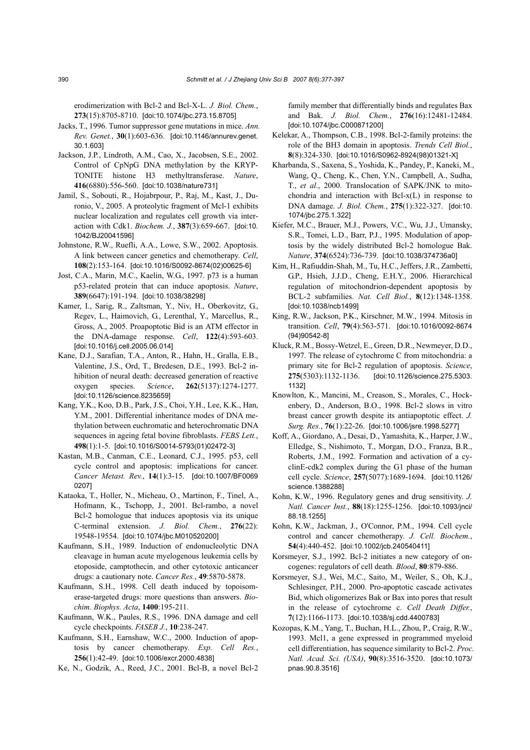erodimerization with Bcl-2 and Bcl-X-L. *J. Biol. Chem.*, **273**(15):8705-8710. [doi:10.1074/jbc.273.15.8705]

- Jacks, T., 1996. Tumor suppressor gene mutations in mice. *Ann. Rev. Genet.*, **30**(1):603-636. [doi:10.1146/annurev.genet. 30.1.603]
- Jackson, J.P., Lindroth, A.M., Cao, X., Jacobsen, S.E., 2002. Control of CpNpG DNA methylation by the KRYP-TONITE histone H3 methyltransferase. *Nature*, **416**(6880):556-560. [doi:10.1038/nature731]
- Jamil, S., Sobouti, R., Hojabrpour, P., Raj, M., Kast, J., Duronio, V., 2005. A proteolytic fragment of Mcl-1 exhibits nuclear localization and regulates cell growth via interaction with Cdk1. *Biochem. J.*, **387**(3):659-667. [doi:10. 1042/BJ20041596]
- Johnstone, R.W., Ruefli, A.A., Lowe, S.W., 2002. Apoptosis. A link between cancer genetics and chemotherapy. *Cell*, **108**(2):153-164. [doi:10.1016/S0092-8674(02)00625-6]
- Jost, C.A., Marin, M.C., Kaelin, W.G., 1997. p73 is a human p53-related protein that can induce apoptosis. *Nature*, **389**(6647):191-194. [doi:10.1038/38298]
- Kamer, I., Sarig, R., Zaltsman, Y., Niv, H., Oberkovitz, G., Regev, L., Haimovich, G., Lerenthal, Y., Marcellus, R., Gross, A., 2005. Proapoptotic Bid is an ATM effector in the DNA-damage response. *Cell*, **122**(4):593-603. [doi:10.1016/j.cell.2005.06.014]
- Kane, D.J., Sarafian, T.A., Anton, R., Hahn, H., Gralla, E.B., Valentine, J.S., Ord, T., Bredesen, D.E., 1993. Bcl-2 inhibition of neural death: decreased generation of reactive oxygen species. *Science*, **262**(5137):1274-1277. [doi:10.1126/science.8235659]
- Kang, Y.K., Koo, D.B., Park, J.S., Choi, Y.H., Lee, K.K., Han, Y.M., 2001. Differential inheritance modes of DNA methylation between euchromatic and heterochromatic DNA sequences in ageing fetal bovine fibroblasts. *FEBS Lett.*, **498**(1):1-5. [doi:10.1016/S0014-5793(01)02472-3]
- Kastan, M.B., Canman, C.E., Leonard, C.J., 1995. p53, cell cycle control and apoptosis: implications for cancer. *Cancer Metast. Rev.*, **14**(1):3-15. [doi:10.1007/BF0069 0207]
- Kataoka, T., Holler, N., Micheau, O., Martinon, F., Tinel, A., Hofmann, K., Tschopp, J., 2001. Bcl-rambo, a novel Bcl-2 homologue that induces apoptosis via its unique C-terminal extension. *J. Biol. Chem.*, **276**(22): 19548-19554. [doi:10.1074/jbc.M010520200]
- Kaufmann, S.H., 1989. Induction of endonucleolytic DNA cleavage in human acute myelogenous leukemia cells by etoposide, camptothecin, and other cytotoxic anticancer drugs: a cautionary note. *Cancer Res.*, **49**:5870-5878.
- Kaufmann, S.H., 1998. Cell death induced by topoisomerase-targeted drugs: more questions than answers. *Biochim. Biophys. Acta*, **1400**:195-211.
- Kaufmann, W.K., Paules, R.S., 1996. DNA damage and cell cycle checkpoints. *FASEB J.*, **10**:238-247.
- Kaufmann, S.H., Earnshaw, W.C., 2000. Induction of apoptosis by cancer chemotherapy. *Exp. Cell Res.*, **256**(1):42-49. [doi:10.1006/excr.2000.4838]
- Ke, N., Godzik, A., Reed, J.C., 2001. Bcl-B, a novel Bcl-2

family member that differentially binds and regulates Bax and Bak. *J. Biol. Chem.*, **276**(16):12481-12484. [doi:10.1074/jbc.C000871200]

- Kelekar, A., Thompson, C.B., 1998. Bcl-2-family proteins: the role of the BH3 domain in apoptosis. *Trends Cell Biol.*, **8**(8):324-330. [doi:10.1016/S0962-8924(98)01321-X]
- Kharbanda, S., Saxena, S., Yoshida, K., Pandey, P., Kaneki, M., Wang, Q., Cheng, K., Chen, Y.N., Campbell, A., Sudha, T., *et al*., 2000. Translocation of SAPK/JNK to mitochondria and interaction with Bcl-x(L) in response to DNA damage. *J. Biol. Chem.*, **275**(1):322-327. [doi:10. 1074/jbc.275.1.322]
- Kiefer, M.C., Brauer, M.J., Powers, V.C., Wu, J.J., Umansky, S.R., Tomei, L.D., Barr, P.J., 1995. Modulation of apoptosis by the widely distributed Bcl-2 homologue Bak. *Nature*, **374**(6524):736-739. [doi:10.1038/374736a0]
- Kim, H., Rafiuddin-Shah, M., Tu, H.C., Jeffers, J.R., Zambetti, G.P., Hsieh, J.J.D., Cheng, E.H.Y., 2006. Hierarchical regulation of mitochondrion-dependent apoptosis by BCL-2 subfamilies. *Nat. Cell Biol.*, **8**(12):1348-1358. [doi:10.1038/ncb1499]
- King, R.W., Jackson, P.K., Kirschner, M.W., 1994. Mitosis in transition. *Cell*, **79**(4):563-571. [doi:10.1016/0092-8674 (94)90542-8]
- Kluck, R.M., Bossy-Wetzel, E., Green, D.R., Newmeyer, D.D., 1997. The release of cytochrome C from mitochondria: a primary site for Bcl-2 regulation of apoptosis. *Science*, **275**(5303):1132-1136. [doi:10.1126/science.275.5303. 1132]
- Knowlton, K., Mancini, M., Creason, S., Morales, C., Hockenbery, D., Anderson, B.O., 1998. Bcl-2 slows in vitro breast cancer growth despite its antiapoptotic effect. *J. Surg. Res.*, **76**(1):22-26. [doi:10.1006/jsre.1998.5277]
- Koff, A., Giordano, A., Desai, D., Yamashita, K., Harper, J.W., Elledge, S., Nishimoto, T., Morgan, D.O., Franza, B.R., Roberts, J.M., 1992. Formation and activation of a cyclinE-cdk2 complex during the G1 phase of the human cell cycle. *Science*, **257**(5077):1689-1694. [doi:10.1126/ science.1388288]
- Kohn, K.W., 1996. Regulatory genes and drug sensitivity. *J. Natl. Cancer Inst.*, **88**(18):1255-1256. [doi:10.1093/jnci/ 88.18.1255]
- Kohn, K.W., Jackman, J., O'Connor, P.M., 1994. Cell cycle control and cancer chemotherapy. *J. Cell. Biochem.*, **54**(4):440-452. [doi:10.1002/jcb.240540411]
- Korsmeyer, S.J., 1992. Bcl-2 initiates a new category of oncogenes: regulators of cell death. *Blood*, **80**:879-886.
- Korsmeyer, S.J., Wei, M.C., Saito, M., Weiler, S., Oh, K.J., Schlesinger, P.H., 2000. Pro-apoptotic cascade activates Bid, which oligomerizes Bak or Bax into pores that result in the release of cytochrome c. *Cell Death Differ.*, **7**(12):1166-1173. [doi:10.1038/sj.cdd.4400783]
- Kozopas, K.M., Yang, T., Buchan, H.L., Zhou, P., Craig, R.W., 1993. Mcl1, a gene expressed in programmed myeloid cell differentiation, has sequence similarity to Bcl-2. *Proc. Natl. Acad. Sci. (USA)*, **90**(8):3516-3520. [doi:10.1073/ pnas.90.8.3516]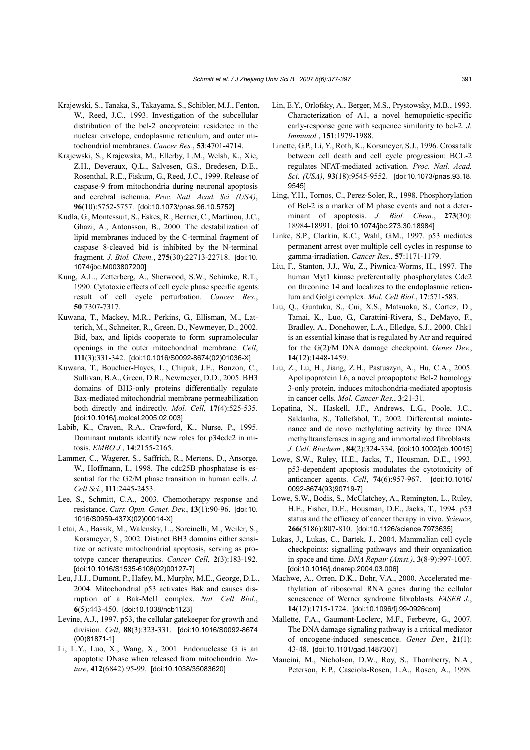- Krajewski, S., Tanaka, S., Takayama, S., Schibler, M.J., Fenton, W., Reed, J.C., 1993. Investigation of the subcellular distribution of the bcl-2 oncoprotein: residence in the nuclear envelope, endoplasmic reticulum, and outer mitochondrial membranes. *Cancer Res.*, **53**:4701-4714.
- Krajewski, S., Krajewska, M., Ellerby, L.M., Welsh, K., Xie, Z.H., Deveraux, Q.L., Salvesen, G.S., Bredesen, D.E., Rosenthal, R.E., Fiskum, G., Reed, J.C., 1999. Release of caspase-9 from mitochondria during neuronal apoptosis and cerebral ischemia. *Proc. Natl. Acad. Sci. (USA)*, **96**(10):5752-5757. [doi:10.1073/pnas.96.10.5752]
- Kudla, G., Montessuit, S., Eskes, R., Berrier, C., Martinou, J.C., Ghazi, A., Antonsson, B., 2000. The destabilization of lipid membranes induced by the C-terminal fragment of caspase 8-cleaved bid is inhibited by the N-terminal fragment. *J. Biol. Chem.*, **275**(30):22713-22718. [doi:10. 1074/jbc.M003807200]
- Kung, A.L., Zetterberg, A., Sherwood, S.W., Schimke, R.T., 1990. Cytotoxic effects of cell cycle phase specific agents: result of cell cycle perturbation. *Cancer Res.*, **50**:7307-7317.
- Kuwana, T., Mackey, M.R., Perkins, G., Ellisman, M., Latterich, M., Schneiter, R., Green, D., Newmeyer, D., 2002. Bid, bax, and lipids cooperate to form supramolecular openings in the outer mitochondrial membrane. *Cell*, **111**(3):331-342. [doi:10.1016/S0092-8674(02)01036-X]
- Kuwana, T., Bouchier-Hayes, L., Chipuk, J.E., Bonzon, C., Sullivan, B.A., Green, D.R., Newmeyer, D.D., 2005. BH3 domains of BH3-only proteins differentially regulate Bax-mediated mitochondrial membrane permeabilization both directly and indirectly. *Mol. Cell*, **17**(4):525-535. [doi:10.1016/j.molcel.2005.02.003]
- Labib, K., Craven, R.A., Crawford, K., Nurse, P., 1995. Dominant mutants identify new roles for p34cdc2 in mitosis. *EMBO J.*, **14**:2155-2165.
- Lammer, C., Wagerer, S., Saffrich, R., Mertens, D., Ansorge, W., Hoffmann, I., 1998. The cdc25B phosphatase is essential for the G2/M phase transition in human cells. *J. Cell Sci.*, **111**:2445-2453.
- Lee, S., Schmitt, C.A., 2003. Chemotherapy response and resistance. *Curr. Opin. Genet. Dev.*, **13**(1):90-96. [doi:10. 1016/S0959-437X(02)00014-X]
- Letai, A., Bassik, M., Walensky, L., Sorcinelli, M., Weiler, S., Korsmeyer, S., 2002. Distinct BH3 domains either sensitize or activate mitochondrial apoptosis, serving as prototype cancer therapeutics. *Cancer Cell*, **2**(3):183-192. [doi:10.1016/S1535-6108(02)00127-7]
- Leu, J.I.J., Dumont, P., Hafey, M., Murphy, M.E., George, D.L., 2004. Mitochondrial p53 activates Bak and causes disruption of a Bak-Mcl1 complex. *Nat. Cell Biol.*, **6**(5):443-450. [doi:10.1038/ncb1123]
- Levine, A.J., 1997. p53, the cellular gatekeeper for growth and division. *Cell*, **88**(3):323-331. [doi:10.1016/S0092-8674 (00)81871-1]
- Li, L.Y., Luo, X., Wang, X., 2001. Endonuclease G is an apoptotic DNase when released from mitochondria. *Nature*, **412**(6842):95-99. [doi:10.1038/35083620]
- Lin, E.Y., Orlofsky, A., Berger, M.S., Prystowsky, M.B., 1993. Characterization of A1, a novel hemopoietic-specific early-response gene with sequence similarity to bcl-2. *J. Immunol.*, **151**:1979-1988.
- Linette, G.P., Li, Y., Roth, K., Korsmeyer, S.J., 1996. Cross talk between cell death and cell cycle progression: BCL-2 regulates NFAT-mediated activation. *Proc. Natl. Acad. Sci. (USA)*, **93**(18):9545-9552. [doi:10.1073/pnas.93.18. 9545]
- Ling, Y.H., Tornos, C., Perez-Soler, R., 1998. Phosphorylation of Bcl-2 is a marker of M phase events and not a determinant of apoptosis. *J. Biol. Chem.*, **273**(30): 18984-18991. [doi:10.1074/jbc.273.30.18984]
- Linke, S.P., Clarkin, K.C., Wahl, G.M., 1997. p53 mediates permanent arrest over multiple cell cycles in response to gamma-irradiation. *Cancer Res.*, **57**:1171-1179.
- Liu, F., Stanton, J.J., Wu, Z., Piwnica-Worms, H., 1997. The human Myt1 kinase preferentially phosphorylates Cdc2 on threonine 14 and localizes to the endoplasmic reticulum and Golgi complex. *Mol. Cell Biol.*, **17**:571-583.
- Liu, Q., Guntuku, S., Cui, X.S., Matsuoka, S., Cortez, D., Tamai, K., Luo, G., Carattini-Rivera, S., DeMayo, F., Bradley, A., Donehower, L.A., Elledge, S.J., 2000. Chk1 is an essential kinase that is regulated by Atr and required for the G(2)/M DNA damage checkpoint. *Genes Dev.*, **14**(12):1448-1459.
- Liu, Z., Lu, H., Jiang, Z.H., Pastuszyn, A., Hu, C.A., 2005. Apolipoprotein L6, a novel proapoptotic Bcl-2 homology 3-only protein, induces mitochondria-mediated apoptosis in cancer cells. *Mol. Cancer Res.*, **3**:21-31.
- Lopatina, N., Haskell, J.F., Andrews, L.G., Poole, J.C., Saldanha, S., Tollefsbol, T., 2002. Differential maintenance and de novo methylating activity by three DNA methyltransferases in aging and immortalized fibroblasts. *J. Cell. Biochem.*, **84**(2):324-334. [doi:10.1002/jcb.10015]
- Lowe, S.W., Ruley, H.E., Jacks, T., Housman, D.E., 1993. p53-dependent apoptosis modulates the cytotoxicity of anticancer agents. *Cell*, **74**(6):957-967. [doi:10.1016/ 0092-8674(93)90719-7]
- Lowe, S.W., Bodis, S., McClatchey, A., Remington, L., Ruley, H.E., Fisher, D.E., Housman, D.E., Jacks, T., 1994. p53 status and the efficacy of cancer therapy in vivo. *Science*, **266**(5186):807-810. [doi:10.1126/science.7973635]
- Lukas, J., Lukas, C., Bartek, J., 2004. Mammalian cell cycle checkpoints: signalling pathways and their organization in space and time. *DNA Repair (Amst.)*, **3**(8-9):997-1007. [doi:10.1016/j.dnarep.2004.03.006]
- Machwe, A., Orren, D.K., Bohr, V.A., 2000. Accelerated methylation of ribosomal RNA genes during the cellular senescence of Werner syndrome fibroblasts. *FASEB J.*, **14**(12):1715-1724. [doi:10.1096/fj.99-0926com]
- Mallette, F.A., Gaumont-Leclerc, M.F., Ferbeyre, G., 2007. The DNA damage signaling pathway is a critical mediator of oncogene-induced senescence. *Genes Dev.*, **21**(1): 43-48. [doi:10.1101/gad.1487307]
- Mancini, M., Nicholson, D.W., Roy, S., Thornberry, N.A., Peterson, E.P., Casciola-Rosen, L.A., Rosen, A., 1998.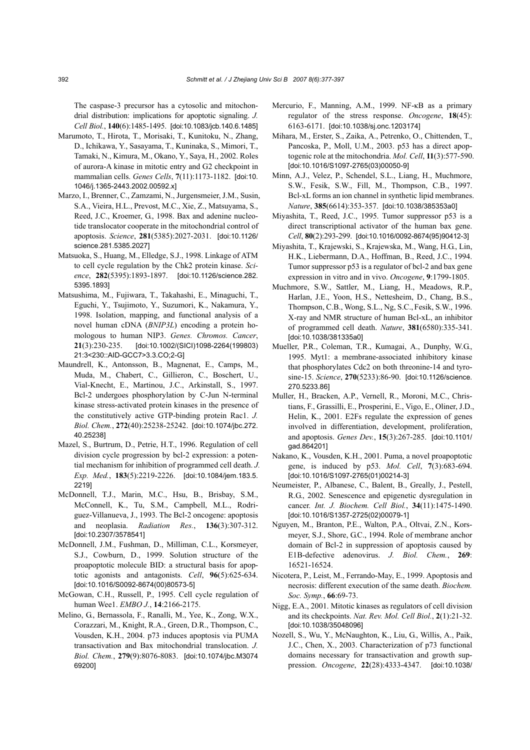The caspase-3 precursor has a cytosolic and mitochondrial distribution: implications for apoptotic signaling. *J. Cell Biol.*, **140**(6):1485-1495. [doi:10.1083/jcb.140.6.1485]

- Marumoto, T., Hirota, T., Morisaki, T., Kunitoku, N., Zhang, D., Ichikawa, Y., Sasayama, T., Kuninaka, S., Mimori, T., Tamaki, N., Kimura, M., Okano, Y., Saya, H., 2002. Roles of aurora-A kinase in mitotic entry and G2 checkpoint in mammalian cells. *Genes Cells*, **7**(11):1173-1182. [doi:10. 1046/j.1365-2443.2002.00592.x]
- Marzo, I., Brenner, C., Zamzami, N., Jurgensmeier, J.M., Susin, S.A., Vieira, H.L., Prevost, M.C., Xie, Z., Matsuyama, S., Reed, J.C., Kroemer, G., 1998. Bax and adenine nucleotide translocator cooperate in the mitochondrial control of apoptosis. *Science*, **281**(5385):2027-2031. [doi:10.1126/ science.281.5385.2027]
- Matsuoka, S., Huang, M., Elledge, S.J., 1998. Linkage of ATM to cell cycle regulation by the Chk2 protein kinase. *Science*, **282**(5395):1893-1897. [doi:10.1126/science.282. 5395.1893]
- Matsushima, M., Fujiwara, T., Takahashi, E., Minaguchi, T., Eguchi, Y., Tsujimoto, Y., Suzumori, K., Nakamura, Y., 1998. Isolation, mapping, and functional analysis of a novel human cDNA (*BNIP3L*) encoding a protein homologous to human NIP3. *Genes. Chromos. Cancer*, **21**(3):230-235. [doi:10.1002/(SICI)1098-2264(199803) 21:3<230::AID-GCC7>3.3.CO;2-G]
- Maundrell, K., Antonsson, B., Magnenat, E., Camps, M., Muda, M., Chabert, C., Gillieron, C., Boschert, U., Vial-Knecht, E., Martinou, J.C., Arkinstall, S., 1997. Bcl-2 undergoes phosphorylation by C-Jun N-terminal kinase stress-activated protein kinases in the presence of the constitutively active GTP-binding protein Rac1. *J. Biol. Chem.*, **272**(40):25238-25242. [doi:10.1074/jbc.272. 40.25238]
- Mazel, S., Burtrum, D., Petrie, H.T., 1996. Regulation of cell division cycle progression by bcl-2 expression: a potential mechanism for inhibition of programmed cell death. *J. Exp. Med.*, **183**(5):2219-2226. [doi:10.1084/jem.183.5. 2219]
- McDonnell, T.J., Marin, M.C., Hsu, B., Brisbay, S.M., McConnell, K., Tu, S.M., Campbell, M.L., Rodriguez-Villanueva, J., 1993. The Bcl-2 oncogene: apoptosis and neoplasia. *Radiation Res.*, **136**(3):307-312. [doi:10.2307/3578541]
- McDonnell, J.M., Fushman, D., Milliman, C.L., Korsmeyer, S.J., Cowburn, D., 1999. Solution structure of the proapoptotic molecule BID: a structural basis for apoptotic agonists and antagonists. *Cell*, **96**(5):625-634. [doi:10.1016/S0092-8674(00)80573-5]
- McGowan, C.H., Russell, P., 1995. Cell cycle regulation of human Wee1. *EMBO J.*, **14**:2166-2175.
- Melino, G., Bernassola, F., Ranalli, M., Yee, K., Zong, W.X., Corazzari, M., Knight, R.A., Green, D.R., Thompson, C., Vousden, K.H., 2004. p73 induces apoptosis via PUMA transactivation and Bax mitochondrial translocation. *J. Biol. Chem.*, **279**(9):8076-8083. [doi:10.1074/jbc.M3074 69200]
- Mercurio, F., Manning, A.M., 1999. NF-κB as a primary regulator of the stress response. *Oncogene*, **18**(45): 6163-6171. [doi:10.1038/sj.onc.1203174]
- Mihara, M., Erster, S., Zaika, A., Petrenko, O., Chittenden, T., Pancoska, P., Moll, U.M., 2003. p53 has a direct apoptogenic role at the mitochondria. *Mol. Cell*, **11**(3):577-590. [doi:10.1016/S1097-2765(03)00050-9]
- Minn, A.J., Velez, P., Schendel, S.L., Liang, H., Muchmore, S.W., Fesik, S.W., Fill, M., Thompson, C.B., 1997. Bcl-xL forms an ion channel in synthetic lipid membranes. *Nature*, **385**(6614):353-357. [doi:10.1038/385353a0]
- Miyashita, T., Reed, J.C., 1995. Tumor suppressor p53 is a direct transcriptional activator of the human bax gene. *Cell*, **80**(2):293-299. [doi:10.1016/0092-8674(95)90412-3]
- Miyashita, T., Krajewski, S., Krajewska, M., Wang, H.G., Lin, H.K., Liebermann, D.A., Hoffman, B., Reed, J.C., 1994. Tumor suppressor p53 is a regulator of bcl-2 and bax gene expression in vitro and in vivo. *Oncogene*, **9**:1799-1805.
- Muchmore, S.W., Sattler, M., Liang, H., Meadows, R.P., Harlan, J.E., Yoon, H.S., Nettesheim, D., Chang, B.S., Thompson, C.B., Wong, S.L., Ng, S.C., Fesik, S.W., 1996. X-ray and NMR structure of human Bcl-xL, an inhibitor of programmed cell death. *Nature*, **381**(6580):335-341. [doi:10.1038/381335a0]
- Mueller, P.R., Coleman, T.R., Kumagai, A., Dunphy, W.G., 1995. Myt1: a membrane-associated inhibitory kinase that phosphorylates Cdc2 on both threonine-14 and tyrosine-15. *Science*, **270**(5233):86-90. [doi:10.1126/science. 270.5233.86]
- Muller, H., Bracken, A.P., Vernell, R., Moroni, M.C., Christians, F., Grassilli, E., Prosperini, E., Vigo, E., Oliner, J.D., Helin, K., 2001. E2Fs regulate the expression of genes involved in differentiation, development, proliferation, and apoptosis. *Genes Dev.*, **15**(3):267-285. [doi:10.1101/ gad.864201]
- Nakano, K., Vousden, K.H., 2001. Puma, a novel proapoptotic gene, is induced by p53. *Mol. Cell*, **7**(3):683-694. [doi:10.1016/S1097-2765(01)00214-3]
- Neumeister, P., Albanese, C., Balent, B., Greally, J., Pestell, R.G., 2002. Senescence and epigenetic dysregulation in cancer. *Int. J. Biochem. Cell Biol.*, **34**(11):1475-1490. [doi:10.1016/S1357-2725(02)00079-1]
- Nguyen, M., Branton, P.E., Walton, P.A., Oltvai, Z.N., Korsmeyer, S.J., Shore, G.C., 1994. Role of membrane anchor domain of Bcl-2 in suppression of apoptosis caused by E1B-defective adenovirus. *J. Biol. Chem.*, **269**: 16521-16524.
- Nicotera, P., Leist, M., Ferrando-May, E., 1999. Apoptosis and necrosis: different execution of the same death. *Biochem. Soc. Symp.*, **66**:69-73.
- Nigg, E.A., 2001. Mitotic kinases as regulators of cell division and its checkpoints. *Nat. Rev. Mol. Cell Biol.*, **2**(1):21-32. [doi:10.1038/35048096]
- Nozell, S., Wu, Y., McNaughton, K., Liu, G., Willis, A., Paik, J.C., Chen, X., 2003. Characterization of p73 functional domains necessary for transactivation and growth suppression. *Oncogene*, **22**(28):4333-4347. [doi:10.1038/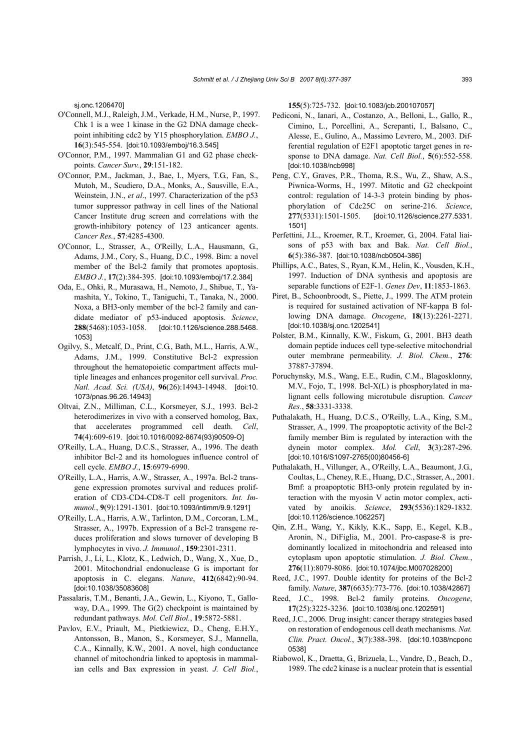sj.onc.1206470]

- O'Connell, M.J., Raleigh, J.M., Verkade, H.M., Nurse, P., 1997. Chk 1 is a wee 1 kinase in the G2 DNA damage checkpoint inhibiting cdc2 by Y15 phosphorylation. *EMBO J.*, **16**(3):545-554. [doi:10.1093/emboj/16.3.545]
- O'Connor, P.M., 1997. Mammalian G1 and G2 phase checkpoints. *Cancer Surv.*, **29**:151-182.
- O'Connor, P.M., Jackman, J., Bae, I., Myers, T.G., Fan, S., Mutoh, M., Scudiero, D.A., Monks, A., Sausville, E.A., Weinstein, J.N., *et al*., 1997. Characterization of the p53 tumor suppressor pathway in cell lines of the National Cancer Institute drug screen and correlations with the growth-inhibitory potency of 123 anticancer agents. *Cancer Res.*, **57**:4285-4300.
- O'Connor, L., Strasser, A., O'Reilly, L.A., Hausmann, G., Adams, J.M., Cory, S., Huang, D.C., 1998. Bim: a novel member of the Bcl-2 family that promotes apoptosis. *EMBO J.*, **17**(2):384-395. [doi:10.1093/emboj/17.2.384]
- Oda, E., Ohki, R., Murasawa, H., Nemoto, J., Shibue, T., Yamashita, Y., Tokino, T., Taniguchi, T., Tanaka, N., 2000. Noxa, a BH3-only member of the bcl-2 family and candidate mediator of p53-induced apoptosis. *Science*, **288**(5468):1053-1058. [doi:10.1126/science.288.5468. 1053]
- Ogilvy, S., Metcalf, D., Print, C.G., Bath, M.L., Harris, A.W., Adams, J.M., 1999. Constitutive Bcl-2 expression throughout the hematopoietic compartment affects multiple lineages and enhances progenitor cell survival. *Proc. Natl. Acad. Sci. (USA)*, **96**(26):14943-14948. [doi:10. 1073/pnas.96.26.14943]
- Oltvai, Z.N., Milliman, C.L., Korsmeyer, S.J., 1993. Bcl-2 heterodimerizes in vivo with a conserved homolog, Bax, that accelerates programmed cell death. *Cell*, **74**(4):609-619. [doi:10.1016/0092-8674(93)90509-O]
- O'Reilly, L.A., Huang, D.C.S., Strasser, A., 1996. The death inhibitor Bcl-2 and its homologues influence control of cell cycle. *EMBO J.*, **15**:6979-6990.
- O'Reilly, L.A., Harris, A.W., Strasser, A., 1997a. Bcl-2 transgene expression promotes survival and reduces proliferation of CD3-CD4-CD8-T cell progenitors. *Int. Immunol.*, **9**(9):1291-1301. [doi:10.1093/intimm/9.9.1291]
- O'Reilly, L.A., Harris, A.W., Tarlinton, D.M., Corcoran, L.M., Strasser, A., 1997b. Expression of a Bcl-2 transgene reduces proliferation and slows turnover of developing B lymphocytes in vivo. *J. Immunol.*, **159**:2301-2311.
- Parrish, J., Li, L., Klotz, K., Ledwich, D., Wang, X., Xue, D., 2001. Mitochondrial endonuclease G is important for apoptosis in C. elegans. *Nature*, **412**(6842):90-94. [doi:10.1038/35083608]
- Passalaris, T.M., Benanti, J.A., Gewin, L., Kiyono, T., Galloway, D.A., 1999. The G(2) checkpoint is maintained by redundant pathways. *Mol. Cell Biol.*, **19**:5872-5881.
- Pavlov, E.V., Priault, M., Pietkiewicz, D., Cheng, E.H.Y., Antonsson, B., Manon, S., Korsmeyer, S.J., Mannella, C.A., Kinnally, K.W., 2001. A novel, high conductance channel of mitochondria linked to apoptosis in mammalian cells and Bax expression in yeast. *J. Cell Biol.*,

**155**(5):725-732. [doi:10.1083/jcb.200107057]

- Pediconi, N., Ianari, A., Costanzo, A., Belloni, L., Gallo, R., Cimino, L., Porcellini, A., Screpanti, I., Balsano, C., Alesse, E., Gulino, A., Massimo Levrero, M., 2003. Differential regulation of E2F1 apoptotic target genes in response to DNA damage. *Nat. Cell Biol.*, **5**(6):552-558. [doi:10.1038/ncb998]
- Peng, C.Y., Graves, P.R., Thoma, R.S., Wu, Z., Shaw, A.S., Piwnica-Worms, H., 1997. Mitotic and G2 checkpoint control: regulation of 14-3-3 protein binding by phosphorylation of Cdc25C on serine-216. *Science*, **277**(5331):1501-1505. [doi:10.1126/science.277.5331. 1501]
- Perfettini, J.L., Kroemer, R.T., Kroemer, G., 2004. Fatal liaisons of p53 with bax and Bak. *Nat. Cell Biol.*, **6**(5):386-387. [doi:10.1038/ncb0504-386]
- Phillips, A.C., Bates, S., Ryan, K.M., Helin, K., Vousden, K.H., 1997. Induction of DNA synthesis and apoptosis are separable functions of E2F-1. *Genes Dev*, **11**:1853-1863.
- Piret, B., Schoonbroodt, S., Piette, J., 1999. The ATM protein is required for sustained activation of NF-kappa B following DNA damage. *Oncogene*, **18**(13):2261-2271. [doi:10.1038/sj.onc.1202541]
- Polster, B.M., Kinnally, K.W., Fiskum, G., 2001. BH3 death domain peptide induces cell type-selective mitochondrial outer membrane permeability. *J. Biol. Chem.*, **276**: 37887-37894.
- Poruchynsky, M.S., Wang, E.E., Rudin, C.M., Blagosklonny, M.V., Fojo, T., 1998. Bcl-X(L) is phosphorylated in malignant cells following microtubule disruption. *Cancer Res.*, **58**:3331-3338.
- Puthalakath, H., Huang, D.C.S., O'Reilly, L.A., King, S.M., Strasser, A., 1999. The proapoptotic activity of the Bcl-2 family member Bim is regulated by interaction with the dynein motor complex. *Mol. Cell*, **3**(3):287-296. [doi:10.1016/S1097-2765(00)80456-6]
- Puthalakath, H., Villunger, A., O'Reilly, L.A., Beaumont, J.G., Coultas, L., Cheney, R.E., Huang, D.C., Strasser, A., 2001. Bmf: a proapoptotic BH3-only protein regulated by interaction with the myosin V actin motor complex, activated by anoikis. *Science*, **293**(5536):1829-1832. [doi:10.1126/science.1062257]
- Qin, Z.H., Wang, Y., Kikly, K.K., Sapp, E., Kegel, K.B., Aronin, N., DiFiglia, M., 2001. Pro-caspase-8 is predominantly localized in mitochondria and released into cytoplasm upon apoptotic stimulation. *J. Biol. Chem.*, **276**(11):8079-8086. [doi:10.1074/jbc.M007028200]
- Reed, J.C., 1997. Double identity for proteins of the Bcl-2 family. *Nature*, **387**(6635):773-776. [doi:10.1038/42867]
- Reed, J.C., 1998. Bcl-2 family proteins. *Oncogene*, **17**(25):3225-3236. [doi:10.1038/sj.onc.1202591]
- Reed, J.C., 2006. Drug insight: cancer therapy strategies based on restoration of endogenous cell death mechanisms. *Nat. Clin. Pract. Oncol.*, **3**(7):388-398. [doi:10.1038/ncponc 0538]
- Riabowol, K., Draetta, G., Brizuela, L., Vandre, D., Beach, D., 1989. The cdc2 kinase is a nuclear protein that is essential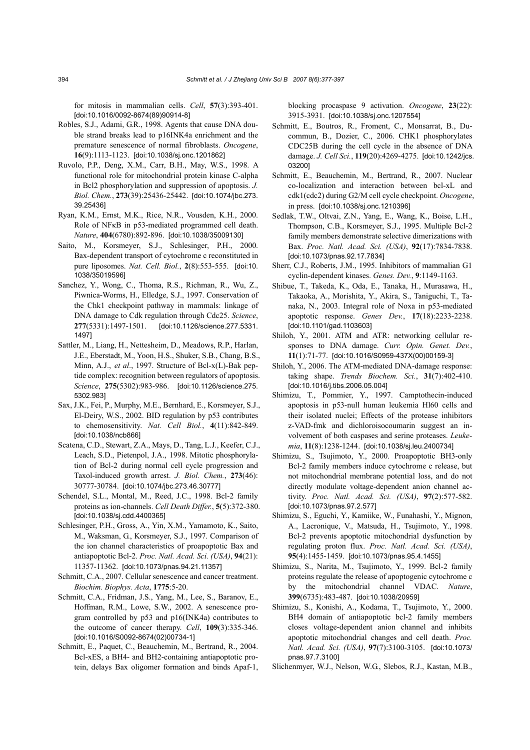for mitosis in mammalian cells. *Cell*, **57**(3):393-401. [doi:10.1016/0092-8674(89)90914-8]

- Robles, S.J., Adami, G.R., 1998. Agents that cause DNA double strand breaks lead to p16INK4a enrichment and the premature senescence of normal fibroblasts. *Oncogene*, **16**(9):1113-1123. [doi:10.1038/sj.onc.1201862]
- Ruvolo, P.P., Deng, X.M., Carr, B.H., May, W.S., 1998. A functional role for mitochondrial protein kinase C-alpha in Bcl2 phosphorylation and suppression of apoptosis. *J. Biol. Chem.*, **273**(39):25436-25442. [doi:10.1074/jbc.273. 39.25436]
- Ryan, K.M., Ernst, M.K., Rice, N.R., Vousden, K.H., 2000. Role of NFκB in p53-mediated programmed cell death. *Nature*, **404**(6780):892-896. [doi:10.1038/35009130]
- Saito, M., Korsmeyer, S.J., Schlesinger, P.H., 2000. Bax-dependent transport of cytochrome c reconstituted in pure liposomes. *Nat. Cell. Biol.*, **2**(8):553-555. [doi:10. 1038/35019596]
- Sanchez, Y., Wong, C., Thoma, R.S., Richman, R., Wu, Z., Piwnica-Worms, H., Elledge, S.J., 1997. Conservation of the Chk1 checkpoint pathway in mammals: linkage of DNA damage to Cdk regulation through Cdc25. *Science*, **277**(5331):1497-1501. [doi:10.1126/science.277.5331. 1497]
- Sattler, M., Liang, H., Nettesheim, D., Meadows, R.P., Harlan, J.E., Eberstadt, M., Yoon, H.S., Shuker, S.B., Chang, B.S., Minn, A.J., *et al*., 1997. Structure of Bcl-x(L)-Bak peptide complex: recognition between regulators of apoptosis. *Science*, **275**(5302):983-986. [doi:10.1126/science.275. 5302.983]
- Sax, J.K., Fei, P., Murphy, M.E., Bernhard, E., Korsmeyer, S.J., El-Deiry, W.S., 2002. BID regulation by p53 contributes to chemosensitivity. *Nat. Cell Biol.*, **4**(11):842-849. [doi:10.1038/ncb866]
- Scatena, C.D., Stewart, Z.A., Mays, D., Tang, L.J., Keefer, C.J., Leach, S.D., Pietenpol, J.A., 1998. Mitotic phosphorylation of Bcl-2 during normal cell cycle progression and Taxol-induced growth arrest. *J. Biol. Chem.*, **273**(46): 30777-30784. [doi:10.1074/jbc.273.46.30777]
- Schendel, S.L., Montal, M., Reed, J.C., 1998. Bcl-2 family proteins as ion-channels. *Cell Death Differ.*, **5**(5):372-380. [doi:10.1038/sj.cdd.4400365]
- Schlesinger, P.H., Gross, A., Yin, X.M., Yamamoto, K., Saito, M., Waksman, G., Korsmeyer, S.J., 1997. Comparison of the ion channel characteristics of proapoptotic Bax and antiapoptotic Bcl-2. *Proc. Natl. Acad. Sci. (USA)*, **94**(21): 11357-11362. [doi:10.1073/pnas.94.21.11357]
- Schmitt, C.A., 2007. Cellular senescence and cancer treatment. *Biochim. Biophys. Acta*, **1775**:5-20.
- Schmitt, C.A., Fridman, J.S., Yang, M., Lee, S., Baranov, E., Hoffman, R.M., Lowe, S.W., 2002. A senescence program controlled by p53 and p16(INK4a) contributes to the outcome of cancer therapy. *Cell*, **109**(3):335-346. [doi:10.1016/S0092-8674(02)00734-1]
- Schmitt, E., Paquet, C., Beauchemin, M., Bertrand, R., 2004. Bcl-xES, a BH4- and BH2-containing antiapoptotic protein, delays Bax oligomer formation and binds Apaf-1,

blocking procaspase 9 activation. *Oncogene*, **23**(22): 3915-3931. [doi:10.1038/sj.onc.1207554]

- Schmitt, E., Boutros, R., Froment, C., Monsarrat, B., Ducommun, B., Dozier, C., 2006. CHK1 phosphorylates CDC25B during the cell cycle in the absence of DNA damage. *J. Cell Sci.*, **119**(20):4269-4275. [doi:10.1242/jcs. 03200]
- Schmitt, E., Beauchemin, M., Bertrand, R., 2007. Nuclear co-localization and interaction between bcl-xL and cdk1(cdc2) during G2/M cell cycle checkpoint. *Oncogene*, in press. [doi:10.1038/sj.onc.1210396]
- Sedlak, T.W., Oltvai, Z.N., Yang, E., Wang, K., Boise, L.H., Thompson, C.B., Korsmeyer, S.J., 1995. Multiple Bcl-2 family members demonstrate selective dimerizations with Bax. *Proc. Natl. Acad. Sci. (USA)*, **92**(17):7834-7838. [doi:10.1073/pnas.92.17.7834]
- Sherr, C.J., Roberts, J.M., 1995. Inhibitors of mammalian G1 cyclin-dependent kinases. *Genes. Dev.*, **9**:1149-1163.
- Shibue, T., Takeda, K., Oda, E., Tanaka, H., Murasawa, H., Takaoka, A., Morishita, Y., Akira, S., Taniguchi, T., Tanaka, N., 2003. Integral role of Noxa in p53-mediated apoptotic response. *Genes Dev.*, **17**(18):2233-2238. [doi:10.1101/gad.1103603]
- Shiloh, Y., 2001. ATM and ATR: networking cellular responses to DNA damage. *Curr. Opin. Genet. Dev.*, **11**(1):71-77. [doi:10.1016/S0959-437X(00)00159-3]
- Shiloh, Y., 2006. The ATM-mediated DNA-damage response: taking shape. *Trends Biochem. Sci.*, **31**(7):402-410. [doi:10.1016/j.tibs.2006.05.004]
- Shimizu, T., Pommier, Y., 1997. Camptothecin-induced apoptosis in p53-null human leukemia Hl60 cells and their isolated nuclei; Effects of the protease inhibitors z-VAD-fmk and dichloroisocoumarin suggest an involvement of both caspases and serine proteases. *Leukemia*, **11**(8):1238-1244. [doi:10.1038/sj.leu.2400734]
- Shimizu, S., Tsujimoto, Y., 2000. Proapoptotic BH3-only Bcl-2 family members induce cytochrome c release, but not mitochondrial membrane potential loss, and do not directly modulate voltage-dependent anion channel activity. *Proc. Natl. Acad. Sci. (USA)*, **97**(2):577-582. [doi:10.1073/pnas.97.2.577]
- Shimizu, S., Eguchi, Y., Kamiike, W., Funahashi, Y., Mignon, A., Lacronique, V., Matsuda, H., Tsujimoto, Y., 1998. Bcl-2 prevents apoptotic mitochondrial dysfunction by regulating proton flux. *Proc. Natl. Acad. Sci. (USA)*, **95**(4):1455-1459. [doi:10.1073/pnas.95.4.1455]
- Shimizu, S., Narita, M., Tsujimoto, Y., 1999. Bcl-2 family proteins regulate the release of apoptogenic cytochrome c by the mitochondrial channel VDAC. *Nature*, **399**(6735):483-487. [doi:10.1038/20959]
- Shimizu, S., Konishi, A., Kodama, T., Tsujimoto, Y., 2000. BH4 domain of antiapoptotic bcl-2 family members closes voltage-dependent anion channel and inhibits apoptotic mitochondrial changes and cell death. *Proc. Natl. Acad. Sci. (USA)*, **97**(7):3100-3105. [doi:10.1073/ pnas.97.7.3100]
- Slichenmyer, W.J., Nelson, W.G., Slebos, R.J., Kastan, M.B.,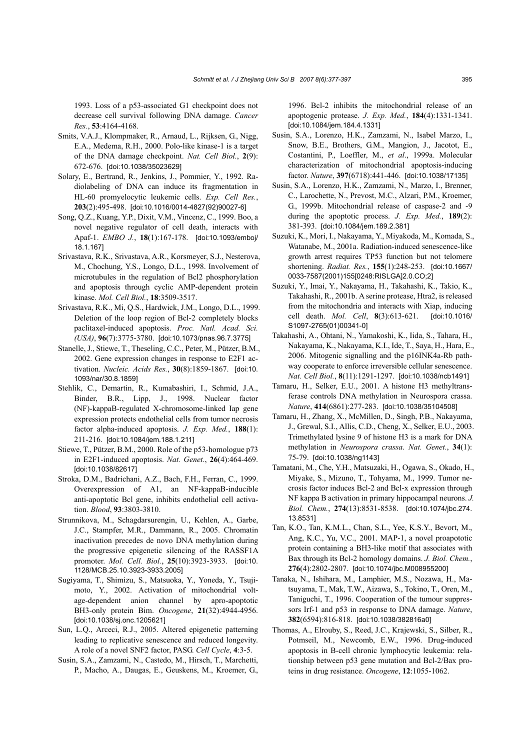1993. Loss of a p53-associated G1 checkpoint does not decrease cell survival following DNA damage. *Cancer Res.*, **53**:4164-4168.

- Smits, V.A.J., Klompmaker, R., Arnaud, L., Rijksen, G., Nigg, E.A., Medema, R.H., 2000. Polo-like kinase-1 is a target of the DNA damage checkpoint. *Nat. Cell Biol.*, **2**(9): 672-676. [doi:10.1038/35023629]
- Solary, E., Bertrand, R., Jenkins, J., Pommier, Y., 1992. Radiolabeling of DNA can induce its fragmentation in HL-60 promyelocytic leukemic cells. *Exp. Cell Res.*, **203**(2):495-498. [doi:10.1016/0014-4827(92)90027-6]
- Song, Q.Z., Kuang, Y.P., Dixit, V.M., Vincenz, C., 1999. Boo, a novel negative regulator of cell death, interacts with Apaf-1. *EMBO J.*, **18**(1):167-178. [doi:10.1093/emboj/ 18.1.167]
- Srivastava, R.K., Srivastava, A.R., Korsmeyer, S.J., Nesterova, M., Chochung, Y.S., Longo, D.L., 1998. Involvement of microtubules in the regulation of Bcl2 phosphorylation and apoptosis through cyclic AMP-dependent protein kinase. *Mol. Cell Biol.*, **18**:3509-3517.
- Srivastava, R.K., Mi, Q.S., Hardwick, J.M., Longo, D.L., 1999. Deletion of the loop region of Bcl-2 completely blocks paclitaxel-induced apoptosis. *Proc. Natl. Acad. Sci. (USA)*, **96**(7):3775-3780. [doi:10.1073/pnas.96.7.3775]
- Stanelle, J., Stiewe, T., Theseling, C.C., Peter, M., Pützer, B.M., 2002. Gene expression changes in response to E2F1 activation. *Nucleic. Acids Res.*, **30**(8):1859-1867. [doi:10. 1093/nar/30.8.1859]
- Stehlik, C., Demartin, R., Kumabashiri, I., Schmid, J.A., Binder, B.R., Lipp, J., 1998. Nuclear factor (NF)-kappaB-regulated X-chromosome-linked Iap gene expression protects endothelial cells from tumor necrosis factor alpha-induced apoptosis. *J. Exp. Med.*, **188**(1): 211-216. [doi:10.1084/jem.188.1.211]
- Stiewe, T., Pützer, B.M., 2000. Role of the p53-homologue p73 in E2F1-induced apoptosis. *Nat. Genet.*, **26**(4):464-469. [doi:10.1038/82617]
- Stroka, D.M., Badrichani, A.Z., Bach, F.H., Ferran, C., 1999. Overexpression of A1, an NF-kappaB-inducible anti-apoptotic Bcl gene, inhibits endothelial cell activation. *Blood*, **93**:3803-3810.
- Strunnikova, M., Schagdarsurengin, U., Kehlen, A., Garbe, J.C., Stampfer, M.R., Dammann, R., 2005. Chromatin inactivation precedes de novo DNA methylation during the progressive epigenetic silencing of the RASSF1A promoter. *Mol. Cell. Biol.*, **25**(10):3923-3933. [doi:10. 1128/MCB.25.10.3923-3933.2005]
- Sugiyama, T., Shimizu, S., Matsuoka, Y., Yoneda, Y., Tsujimoto, Y., 2002. Activation of mitochondrial voltage-dependent anion channel by apro-apoptotic BH3-only protein Bim. *Oncogene*, **21**(32):4944-4956. [doi:10.1038/sj.onc.1205621]
- Sun, L.Q., Arceci, R.J., 2005. Altered epigenetic patterning leading to replicative senescence and reduced longevity. A role of a novel SNF2 factor, PASG. *Cell Cycle*, **4**:3-5.
- Susin, S.A., Zamzami, N., Castedo, M., Hirsch, T., Marchetti, P., Macho, A., Daugas, E., Geuskens, M., Kroemer, G.,

1996. Bcl-2 inhibits the mitochondrial release of an apoptogenic protease. *J. Exp. Med.*, **184**(4):1331-1341. [doi:10.1084/jem.184.4.1331]

- Susin, S.A., Lorenzo, H.K., Zamzami, N., Isabel Marzo, I., Snow, B.E., Brothers, G.M., Mangion, J., Jacotot, E., Costantini, P., Loeffler, M., *et al*., 1999a. Molecular characterization of mitochondrial apoptosis-inducing factor. *Nature*, **397**(6718):441-446. [doi:10.1038/17135]
- Susin, S.A., Lorenzo, H.K., Zamzami, N., Marzo, I., Brenner, C., Larochette, N., Prevost, M.C., Alzari, P.M., Kroemer, G., 1999b. Mitochondrial release of caspase-2 and -9 during the apoptotic process. *J. Exp. Med.*, **189**(2): 381-393. [doi:10.1084/jem.189.2.381]
- Suzuki, K., Mori, I., Nakayama, Y., Miyakoda, M., Komada, S., Watanabe, M., 2001a. Radiation-induced senescence-like growth arrest requires TP53 function but not telomere shortening. *Radiat. Res.*, **155**(1):248-253. [doi:10.1667/ 0033-7587(2001)155[0248:RISLGA]2.0.CO;2]
- Suzuki, Y., Imai, Y., Nakayama, H., Takahashi, K., Takio, K., Takahashi, R., 2001b. A serine protease, Htra2, is released from the mitochondria and interacts with Xiap, inducing cell death. *Mol. Cell*, **8**(3):613-621. [doi:10.1016/ S1097-2765(01)00341-0]
- Takahashi, A., Ohtani, N., Yamakoshi, K., Iida, S., Tahara, H., Nakayama, K., Nakayama, K.I., Ide, T., Saya, H., Hara, E., 2006. Mitogenic signalling and the p16INK4a-Rb pathway cooperate to enforce irreversible cellular senescence. *Nat. Cell Biol.*, **8**(11):1291-1297. [doi:10.1038/ncb1491]
- Tamaru, H., Selker, E.U., 2001. A histone H3 methyltransferase controls DNA methylation in Neurospora crassa. *Nature*, **414**(6861):277-283. [doi:10.1038/35104508]
- Tamaru, H., Zhang, X., McMillen, D., Singh, P.B., Nakayama, J., Grewal, S.I., Allis, C.D., Cheng, X., Selker, E.U., 2003. Trimethylated lysine 9 of histone H3 is a mark for DNA methylation in *Neurospora crassa*. *Nat. Genet.*, **34**(1): 75-79. [doi:10.1038/ng1143]
- Tamatani, M., Che, Y.H., Matsuzaki, H., Ogawa, S., Okado, H., Miyake, S., Mizuno, T., Tohyama, M., 1999. Tumor necrosis factor induces Bcl-2 and Bcl-x expression through NF kappa B activation in primary hippocampal neurons. *J. Biol. Chem.*, **274**(13):8531-8538. [doi:10.1074/jbc.274. 13.8531]
- Tan, K.O., Tan, K.M.L., Chan, S.L., Yee, K.S.Y., Bevort, M., Ang, K.C., Yu, V.C., 2001. MAP-1, a novel proapototic protein containing a BH3-like motif that associates with Bax through its Bcl-2 homology domains. *J. Biol. Chem.*, **276**(4):2802-2807. [doi:10.1074/jbc.M008955200]
- Tanaka, N., Ishihara, M., Lamphier, M.S., Nozawa, H., Matsuyama, T., Mak, T.W., Aizawa, S., Tokino, T., Oren, M., Taniguchi, T., 1996. Cooperation of the tumour suppressors Irf-1 and p53 in response to DNA damage. *Nature*, **382**(6594):816-818. [doi:10.1038/382816a0]
- Thomas, A., Elrouby, S., Reed, J.C., Krajewski, S., Silber, R., Potmseil, M., Newcomb, E.W., 1996. Drug-induced apoptosis in B-cell chronic lymphocytic leukemia: relationship between p53 gene mutation and Bcl-2/Bax proteins in drug resistance. *Oncogene*, **12**:1055-1062.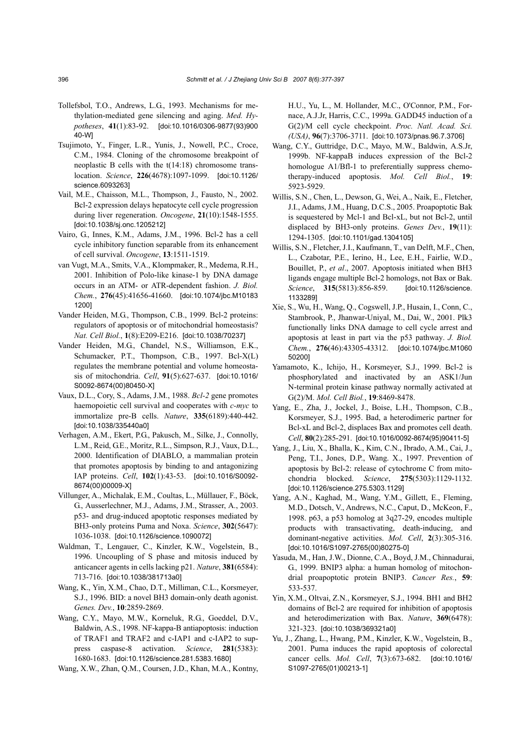- Tollefsbol, T.O., Andrews, L.G., 1993. Mechanisms for methylation-mediated gene silencing and aging. *Med. Hypotheses*, **41**(1):83-92. [doi:10.1016/0306-9877(93)900 40-W]
- Tsujimoto, Y., Finger, L.R., Yunis, J., Nowell, P.C., Croce, C.M., 1984. Cloning of the chromosome breakpoint of neoplastic B cells with the t(14:18) chromosome translocation. *Science*, **226**(4678):1097-1099. [doi:10.1126/ science.6093263]
- Vail, M.E., Chaisson, M.L., Thompson, J., Fausto, N., 2002. Bcl-2 expression delays hepatocyte cell cycle progression during liver regeneration. *Oncogene*, **21**(10):1548-1555. [doi:10.1038/sj.onc.1205212]
- Vairo, G., Innes, K.M., Adams, J.M., 1996. Bcl-2 has a cell cycle inhibitory function separable from its enhancement of cell survival. *Oncogene*, **13**:1511-1519.
- van Vugt, M.A., Smits, V.A., Klompmaker, R., Medema, R.H., 2001. Inhibition of Polo-like kinase-1 by DNA damage occurs in an ATM- or ATR-dependent fashion. *J. Biol. Chem.*, **276**(45):41656-41660. [doi:10.1074/jbc.M10183 1200]
- Vander Heiden, M.G., Thompson, C.B., 1999. Bcl-2 proteins: regulators of apoptosis or of mitochondrial homeostasis? *Nat. Cell Biol.*, **1**(8):E209-E216. [doi:10.1038/70237]
- Vander Heiden, M.G., Chandel, N.S., Williamson, E.K., Schumacker, P.T., Thompson, C.B., 1997. Bcl-X(L) regulates the membrane potential and volume homeostasis of mitochondria. *Cell*, **91**(5):627-637. [doi:10.1016/ S0092-8674(00)80450-X]
- Vaux, D.L., Cory, S., Adams, J.M., 1988. *Bcl-2* gene promotes haemopoietic cell survival and cooperates with *c-myc* to immortalize pre-B cells. *Nature*, **335**(6189):440-442. [doi:10.1038/335440a0]
- Verhagen, A.M., Ekert, P.G., Pakusch, M., Silke, J., Connolly, L.M., Reid, G.E., Moritz, R.L., Simpson, R.J., Vaux, D.L., 2000. Identification of DIABLO, a mammalian protein that promotes apoptosis by binding to and antagonizing IAP proteins. *Cell*, **102**(1):43-53. [doi:10.1016/S0092- 8674(00)00009-X]
- Villunger, A., Michalak, E.M., Coultas, L., Müllauer, F., Böck, G., Ausserlechner, M.J., Adams, J.M., Strasser, A., 2003. p53- and drug-induced apoptotic responses mediated by BH3-only proteins Puma and Noxa. *Science*, **302**(5647): 1036-1038. [doi:10.1126/science.1090072]
- Waldman, T., Lengauer, C., Kinzler, K.W., Vogelstein, B., 1996. Uncoupling of S phase and mitosis induced by anticancer agents in cells lacking p21. *Nature*, **381**(6584): 713-716. [doi:10.1038/381713a0]
- Wang, K., Yin, X.M., Chao, D.T., Milliman, C.L., Korsmeyer, S.J., 1996. BID: a novel BH3 domain-only death agonist. *Genes. Dev.*, **10**:2859-2869.
- Wang, C.Y., Mayo, M.W., Korneluk, R.G., Goeddel, D.V., Baldwin, A.S., 1998. NF-kappa-B antiapoptosis: induction of TRAF1 and TRAF2 and c-IAP1 and c-IAP2 to suppress caspase-8 activation. *Science*, **281**(5383): 1680-1683. [doi:10.1126/science.281.5383.1680]

Wang, X.W., Zhan, Q.M., Coursen, J.D., Khan, M.A., Kontny,

H.U., Yu, L., M. Hollander, M.C., O'Connor, P.M., Fornace, A.J.Jr, Harris, C.C., 1999a. GADD45 induction of a G(2)/M cell cycle checkpoint. *Proc. Natl. Acad. Sci. (USA)*, **96**(7):3706-3711. [doi:10.1073/pnas.96.7.3706]

- Wang, C.Y., Guttridge, D.C., Mayo, M.W., Baldwin, A.S.Jr, 1999b. NF-kappaB induces expression of the Bcl-2 homologue A1/Bfl-1 to preferentially suppress chemotherapy-induced apoptosis. *Mol. Cell Biol.*, **19**: 5923-5929.
- Willis, S.N., Chen, L., Dewson, G., Wei, A., Naik, E., Fletcher, J.I., Adams, J.M., Huang, D.C.S., 2005. Proapoptotic Bak is sequestered by Mcl-1 and Bcl-xL, but not Bcl-2, until displaced by BH3-only proteins. *Genes Dev.*, **19**(11): 1294-1305. [doi:10.1101/gad.1304105]
- Willis, S.N., Fletcher, J.I., Kaufmann, T., van Delft, M.F., Chen, L., Czabotar, P.E., Ierino, H., Lee, E.H., Fairlie, W.D., Bouillet, P., *et al*., 2007. Apoptosis initiated when BH3 ligands engage multiple Bcl-2 homologs, not Bax or Bak. *Science*, **315**(5813):856-859. [doi:10.1126/science. 1133289]
- Xie, S., Wu, H., Wang, Q., Cogswell, J.P., Husain, I., Conn, C., Stambrook, P., Jhanwar-Uniyal, M., Dai, W., 2001. Plk3 functionally links DNA damage to cell cycle arrest and apoptosis at least in part via the p53 pathway. *J. Biol. Chem.*, **276**(46):43305-43312. [doi:10.1074/jbc.M1060 50200]
- Yamamoto, K., Ichijo, H., Korsmeyer, S.J., 1999. Bcl-2 is phosphorylated and inactivated by an ASK1/Jun N-terminal protein kinase pathway normally activated at G(2)/M. *Mol. Cell Biol.*, **19**:8469-8478.
- Yang, E., Zha, J., Jockel, J., Boise, L.H., Thompson, C.B., Korsmeyer, S.J., 1995. Bad, a heterodimeric partner for Bcl-xL and Bcl-2, displaces Bax and promotes cell death. *Cell*, **80**(2):285-291. [doi:10.1016/0092-8674(95)90411-5]
- Yang, J., Liu, X., Bhalla, K., Kim, C.N., Ibrado, A.M., Cai, J., Peng, T.I., Jones, D.P., Wang. X., 1997. Prevention of apoptosis by Bcl-2: release of cytochrome C from mitochondria blocked. *Science*, **275**(5303):1129-1132. [doi:10.1126/science.275.5303.1129]
- Yang, A.N., Kaghad, M., Wang, Y.M., Gillett, E., Fleming, M.D., Dotsch, V., Andrews, N.C., Caput, D., McKeon, F., 1998. p63, a p53 homolog at 3q27-29, encodes multiple products with transactivating, death-inducing, and dominant-negative activities. *Mol. Cell*, **2**(3):305-316. [doi:10.1016/S1097-2765(00)80275-0]
- Yasuda, M., Han, J.W., Dionne, C.A., Boyd, J.M., Chinnadurai, G., 1999. BNIP3 alpha: a human homolog of mitochondrial proapoptotic protein BNIP3. *Cancer Res.*, **59**: 533-537.
- Yin, X.M., Oltvai, Z.N., Korsmeyer, S.J., 1994. BH1 and BH2 domains of Bcl-2 are required for inhibition of apoptosis and heterodimerization with Bax. *Nature*, **369**(6478): 321-323. [doi:10.1038/369321a0]
- Yu, J., Zhang, L., Hwang, P.M., Kinzler, K.W., Vogelstein, B., 2001. Puma induces the rapid apoptosis of colorectal cancer cells. *Mol. Cell*, **7**(3):673-682. [doi:10.1016/ S1097-2765(01)00213-1]